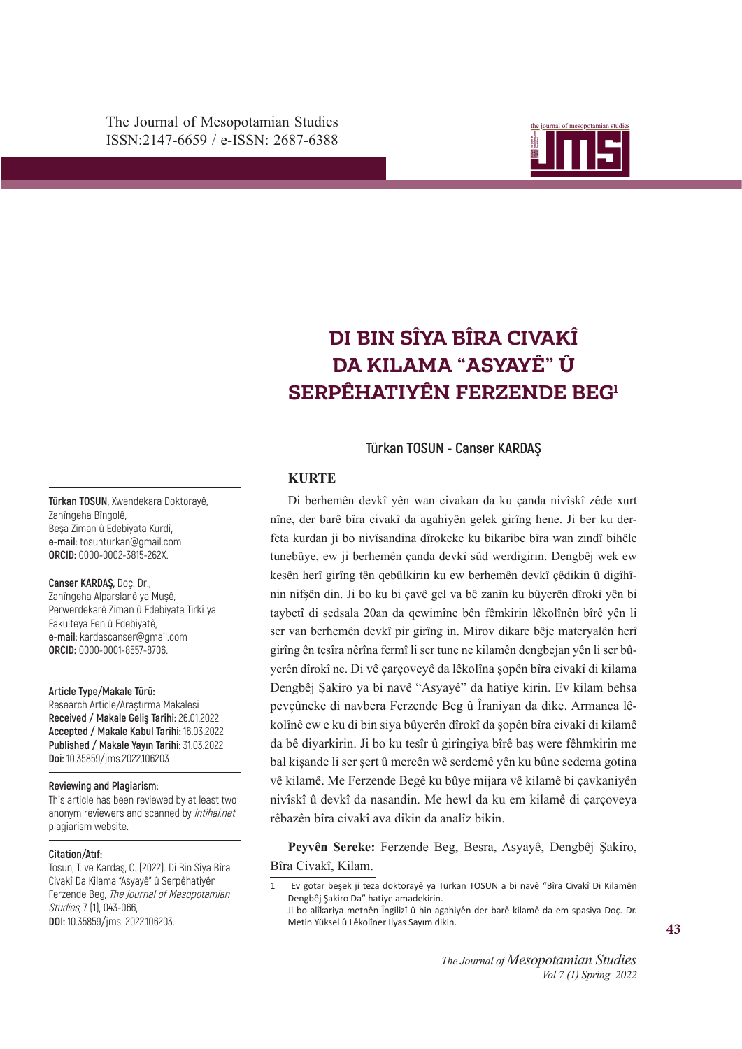

# $\mathbf{SERP}$ ÊHATIYÊN FERZENDE BEG<sup>1</sup> **DI BIN SÎYA BÎRA CIVAKÎ DA KILAMA "ASYAYÊ" Û**

**Türkan TOSUN - Canser KARDAŞ**

#### **KURTE**

nin nifşên din. Ji bo ku bi çavê gel va bê zanîn ku bûyerên dîrokî yên bi taybetî di sedsala 20an da qewimîne bên fêmkirin lêkolînên bîrê yên li Di berhemên devkî yên wan civakan da ku çanda nivîskî zêde xurt nîne, der barê bîra civakî da agahiyên gelek girîng hene. Ji ber ku derfeta kurdan ji bo nivîsandina dîrokeke ku bikaribe bîra wan zindî bihêle tunebûye, ew ji berhemên çanda devkî sûd werdigirin. Dengbêj wek ew kesên herî girîng tên qebûlkirin ku ew berhemên devkî çêdikin û digîhîser van berhemên devkî pir girîng in. Mirov dikare bêje materyalên herî girîng ên tesîra nêrîna fermî li ser tune ne kilamên dengbejan yên li ser bûyerên dîrokî ne. Di vê çarçoveyê da lêkolîna şopên bîra civakî di kilama Dengbêj Şakiro ya bi navê "Asyayê" da hatiye kirin. Ev kilam behsa pevçûneke di navbera Ferzende Beg û Îraniyan da dike. Armanca lêkolînê ew e ku di bin siya bûyerên dîrokî da şopên bîra civakî di kilamê da bê diyarkirin. Ji bo ku tesîr û girîngiya bîrê baş were fêhmkirin me bal kişande li ser şert û mercên wê serdemê yên ku bûne sedema gotina vê kilamê. Me Ferzende Begê ku bûye mijara vê kilamê bi çavkaniyên nivîskî û devkî da nasandin. Me hewl da ku em kilamê di çarçoveya rêbazên bîra civakî ava dikin da analîz bikin.

**Peyvên Sereke:** Ferzende Beg, Besra, Asyayê, Dengbêj Şakiro, Bîra Civakî, Kilam.

**Türkan TOSUN,** Xwendekara Doktorayê, Zanîngeha Bîngolê, Beşa Ziman û Edebiyata Kurdî, **e-mail:** tosunturkan@gmail.com **ORCID:** 0000-0002-3815-262X.

**Canser KARDAŞ,** Doç. Dr., Zanîngeha Alparslanê ya Muşê, Perwerdekarê Ziman û Edebiyata Tirkî ya Fakulteya Fen û Edebiyatê, **e-mail:** kardascanser@gmail.com

**Article Type/Makale Türü:** 

**ORCID:** 0000-0001-8557-8706.

Research Article/Araştırma Makalesi **Received / Makale Geliş Tarihi:** 26.01.2022 **Accepted / Makale Kabul Tarihi:** 16.03.2022 **Published / Makale Yayın Tarihi:** 31.03.2022 **Doi:** 10.35859/jms.2022.106203

#### **Reviewing and Plagiarism:**

This article has been reviewed by at least two anonym reviewers and scanned by intihal.net plagiarism website.

#### **Citation/Atıf:**

Tosun, T. ve Kardaş, C. (2022). Di Bin Sîya Bîra Civakî Da Kilama "Asyayê" û Serpêhatiyên Ferzende Beg, The Journal of Mesopotamian Studies, 7 (1), 043-066, **DOI:** 10.35859/jms. 2022.106203.

<sup>1</sup> Ev gotar beşek ji teza doktorayê ya Türkan TOSUN a bi navê "Bîra Civakî Di Kilamên Dengbêj Şakiro Da" hatiye amadekirin.

Ji bo alîkariya metnên Îngilizî û hin agahiyên der barê kilamê da em spasiya Doç. Dr. Metin Yüksel û Lêkolîner İlyas Sayım dikin.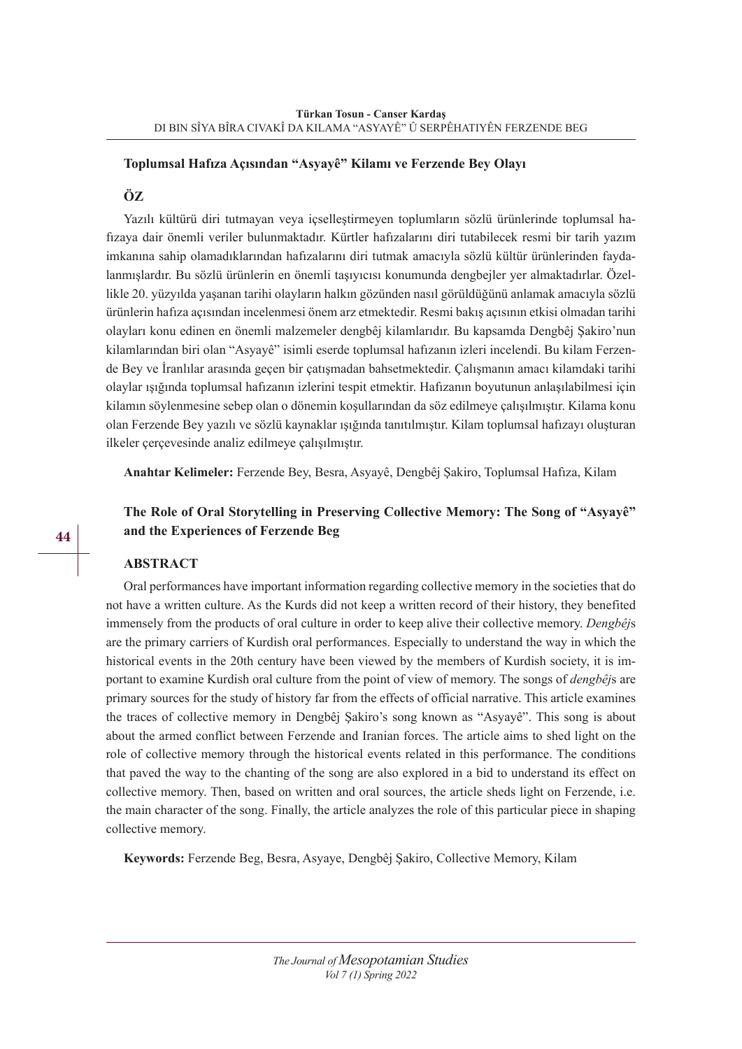## **Toplumsal Hafıza Açısından "Asyayê" Kilamı ve Ferzende Bey Olayı**

## **ÖZ**

Yazılı kültürü diri tutmayan veya içselleştirmeyen toplumların sözlü ürünlerinde toplumsal hafızaya dair önemli veriler bulunmaktadır. Kürtler hafızalarını diri tutabilecek resmi bir tarih yazım imkanına sahip olamadıklarından hafızalarını diri tutmak amacıyla sözlü kültür ürünlerinden faydalanmışlardır. Bu sözlü ürünlerin en önemli taşıyıcısı konumunda dengbejler yer almaktadırlar. Özellikle 20. yüzyılda yaşanan tarihi olayların halkın gözünden nasıl görüldüğünü anlamak amacıyla sözlü ürünlerin hafıza açısından incelenmesi önem arz etmektedir. Resmi bakış açısının etkisi olmadan tarihi olayları konu edinen en önemli malzemeler dengbêj kilamlarıdır. Bu kapsamda Dengbêj Şakiro'nun kilamlarından biri olan "Asyayê" isimli eserde toplumsal hafızanın izleri incelendi. Bu kilam Ferzende Bey ve İranlılar arasında geçen bir çatışmadan bahsetmektedir. Çalışmanın amacı kilamdaki tarihi olaylar ışığında toplumsal hafızanın izlerini tespit etmektir. Hafızanın boyutunun anlaşılabilmesi için kilamın söylenmesine sebep olan o dönemin koşullarından da söz edilmeye çalışılmıştır. Kilama konu olan Ferzende Bey yazılı ve sözlü kaynaklar ışığında tanıtılmıştır. Kilam toplumsal hafızayı oluşturan ilkeler çerçevesinde analiz edilmeye çalışılmıştır.

**Anahtar Kelimeler:** Ferzende Bey, Besra, Asyayê, Dengbêj Şakiro, Toplumsal Hafıza, Kilam

# **The Role of Oral Storytelling in Preserving Collective Memory: The Song of "Asyayê" and the Experiences of Ferzende Beg**

## **ABSTRACT**

Oral performances have important information regarding collective memory in the societies that do not have a written culture. As the Kurds did not keep a written record of their history, they benefited immensely from the products of oral culture in order to keep alive their collective memory. *Dengbêj*s are the primary carriers of Kurdish oral performances. Especially to understand the way in which the historical events in the 20th century have been viewed by the members of Kurdish society, it is important to examine Kurdish oral culture from the point of view of memory. The songs of *dengbêj*s are primary sources for the study of history far from the effects of official narrative. This article examines the traces of collective memory in Dengbêj Şakiro's song known as "Asyayê". This song is about about the armed conflict between Ferzende and Iranian forces. The article aims to shed light on the role of collective memory through the historical events related in this performance. The conditions that paved the way to the chanting of the song are also explored in a bid to understand its effect on collective memory. Then, based on written and oral sources, the article sheds light on Ferzende, i.e. the main character of the song. Finally, the article analyzes the role of this particular piece in shaping collective memory.

**Keywords:** Ferzende Beg, Besra, Asyaye, Dengbêj Şakiro, Collective Memory, Kilam

**44**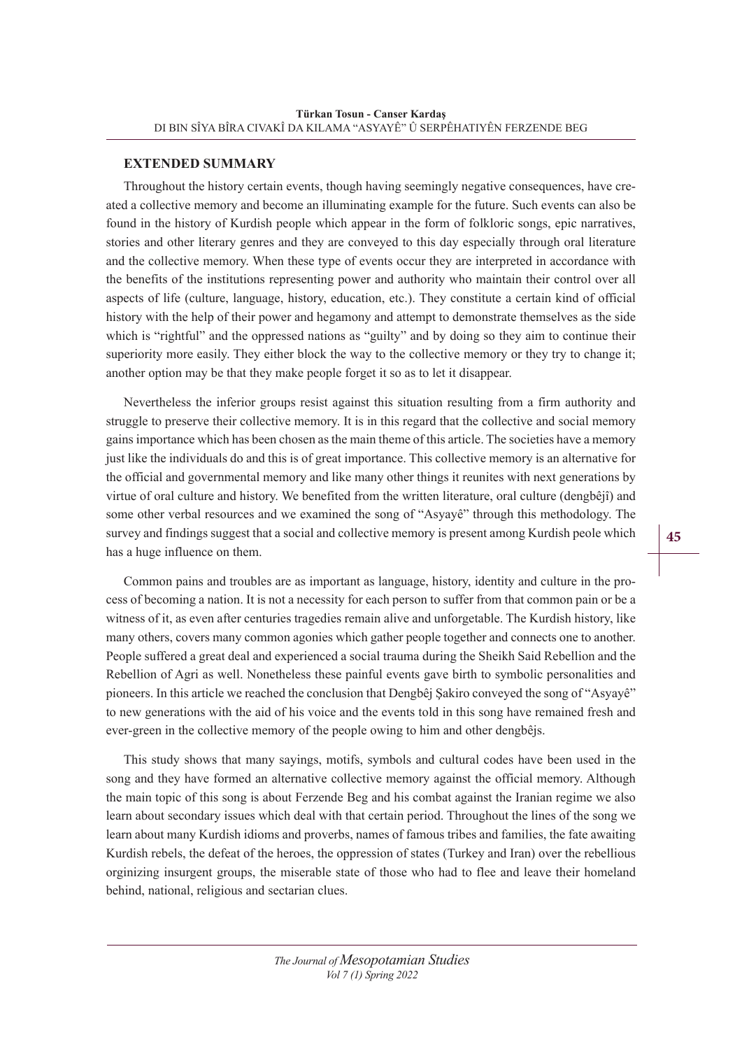## **EXTENDED SUMMARY**

Throughout the history certain events, though having seemingly negative consequences, have created a collective memory and become an illuminating example for the future. Such events can also be found in the history of Kurdish people which appear in the form of folkloric songs, epic narratives, stories and other literary genres and they are conveyed to this day especially through oral literature and the collective memory. When these type of events occur they are interpreted in accordance with the benefits of the institutions representing power and authority who maintain their control over all aspects of life (culture, language, history, education, etc.). They constitute a certain kind of official history with the help of their power and hegamony and attempt to demonstrate themselves as the side which is "rightful" and the oppressed nations as "guilty" and by doing so they aim to continue their superiority more easily. They either block the way to the collective memory or they try to change it; another option may be that they make people forget it so as to let it disappear.

Nevertheless the inferior groups resist against this situation resulting from a firm authority and struggle to preserve their collective memory. It is in this regard that the collective and social memory gains importance which has been chosen as the main theme of this article. The societies have a memory just like the individuals do and this is of great importance. This collective memory is an alternative for the official and governmental memory and like many other things it reunites with next generations by virtue of oral culture and history. We benefited from the written literature, oral culture (dengbêjî) and some other verbal resources and we examined the song of "Asyayê" through this methodology. The survey and findings suggest that a social and collective memory is present among Kurdish peole which has a huge influence on them.

Common pains and troubles are as important as language, history, identity and culture in the process of becoming a nation. It is not a necessity for each person to suffer from that common pain or be a witness of it, as even after centuries tragedies remain alive and unforgetable. The Kurdish history, like many others, covers many common agonies which gather people together and connects one to another. People suffered a great deal and experienced a social trauma during the Sheikh Said Rebellion and the Rebellion of Agri as well. Nonetheless these painful events gave birth to symbolic personalities and pioneers. In this article we reached the conclusion that Dengbêj Şakiro conveyed the song of "Asyayê" to new generations with the aid of his voice and the events told in this song have remained fresh and ever-green in the collective memory of the people owing to him and other dengbêjs.

This study shows that many sayings, motifs, symbols and cultural codes have been used in the song and they have formed an alternative collective memory against the official memory. Although the main topic of this song is about Ferzende Beg and his combat against the Iranian regime we also learn about secondary issues which deal with that certain period. Throughout the lines of the song we learn about many Kurdish idioms and proverbs, names of famous tribes and families, the fate awaiting Kurdish rebels, the defeat of the heroes, the oppression of states (Turkey and Iran) over the rebellious orginizing insurgent groups, the miserable state of those who had to flee and leave their homeland behind, national, religious and sectarian clues.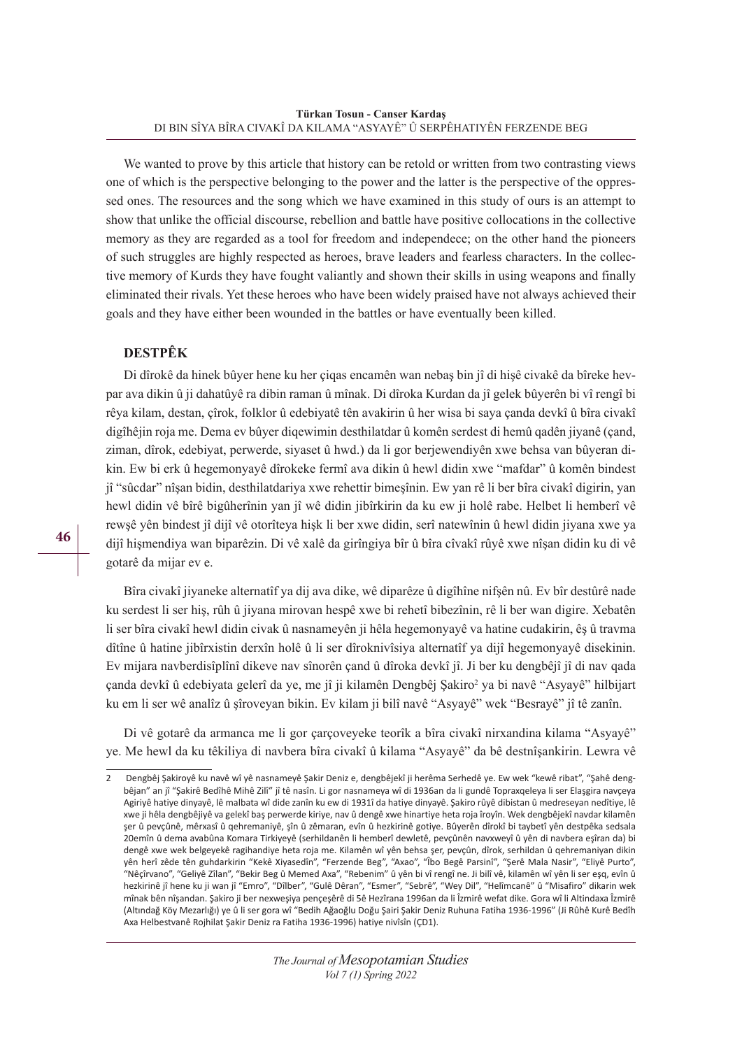We wanted to prove by this article that history can be retold or written from two contrasting views one of which is the perspective belonging to the power and the latter is the perspective of the oppressed ones. The resources and the song which we have examined in this study of ours is an attempt to show that unlike the official discourse, rebellion and battle have positive collocations in the collective memory as they are regarded as a tool for freedom and independece; on the other hand the pioneers of such struggles are highly respected as heroes, brave leaders and fearless characters. In the collective memory of Kurds they have fought valiantly and shown their skills in using weapons and finally eliminated their rivals. Yet these heroes who have been widely praised have not always achieved their goals and they have either been wounded in the battles or have eventually been killed.

# **DESTPÊK**

Di dîrokê da hinek bûyer hene ku her çiqas encamên wan nebaş bin jî di hişê civakê da bîreke hevpar ava dikin û ji dahatûyê ra dibin raman û mînak. Di dîroka Kurdan da jî gelek bûyerên bi vî rengî bi rêya kilam, destan, çîrok, folklor û edebiyatê tên avakirin û her wisa bi saya çanda devkî û bîra civakî digîhêjin roja me. Dema ev bûyer diqewimin desthilatdar û komên serdest di hemû qadên jiyanê (çand, ziman, dîrok, edebiyat, perwerde, siyaset û hwd.) da li gor berjewendiyên xwe behsa van bûyeran dikin. Ew bi erk û hegemonyayê dîrokeke fermî ava dikin û hewl didin xwe "mafdar" û komên bindest jî "sûcdar" nîşan bidin, desthilatdariya xwe rehettir bimeşînin. Ew yan rê li ber bîra civakî digirin, yan hewl didin vê bîrê bigûherînin yan jî wê didin jibîrkirin da ku ew ji holê rabe. Helbet li hemberî vê rewşê yên bindest jî dijî vê otorîteya hişk li ber xwe didin, serî natewînin û hewl didin jiyana xwe ya dijî hişmendiya wan biparêzin. Di vê xalê da girîngiya bîr û bîra cîvakî rûyê xwe nîşan didin ku di vê gotarê da mijar ev e.

Bîra civakî jiyaneke alternatîf ya dij ava dike, wê diparêze û digîhîne nifşên nû. Ev bîr destûrê nade ku serdest li ser hiş, rûh û jiyana mirovan hespê xwe bi rehetî bibezînin, rê li ber wan digire. Xebatên li ser bîra civakî hewl didin civak û nasnameyên ji hêla hegemonyayê va hatine cudakirin, êş û travma dîtîne û hatine jibîrxistin derxîn holê û li ser dîroknivîsiya alternatîf ya dijî hegemonyayê disekinin. Ev mijara navberdisîplînî dikeve nav sînorên çand û dîroka devkî jî. Ji ber ku dengbêjî jî di nav qada çanda devkî û edebiyata gelerî da ye, me jî ji kilamên Dengbêj Şakiro<sup>2</sup> ya bi navê "Asyayê" hilbijart ku em li ser wê analîz û şîroveyan bikin. Ev kilam ji bilî navê "Asyayê" wek "Besrayê" jî tê zanîn.

Di vê gotarê da armanca me li gor çarçoveyeke teorîk a bîra civakî nirxandina kilama "Asyayê" ye. Me hewl da ku têkiliya di navbera bîra civakî û kilama "Asyayê" da bê destnîşankirin. Lewra vê

<sup>2</sup> Dengbêj Şakiroyê ku navê wî yê nasnameyê Şakir Deniz e, dengbêjekî ji herêma Serhedê ye. Ew wek "kewê ribat", "Şahê dengbêjan" an jî "Şakirê Bedîhê Mihê Zilî" jî tê nasîn. Li gor nasnameya wî di 1936an da li gundê Topraxqeleya li ser Elaşgira navçeya Agiriyê hatiye dinyayê, lê malbata wî dide zanîn ku ew di 1931î da hatiye dinyayê. Şakiro rûyê dibistan û medreseyan nedîtiye, lê xwe ji hêla dengbêjiyê va gelekî baş perwerde kiriye, nav û dengê xwe hinartiye heta roja îroyîn. Wek dengbêjekî navdar kilamên şer û pevçûnê, mêrxasî û qehremaniyê, şîn û zêmaran, evîn û hezkirinê gotiye. Bûyerên dîrokî bi taybetî yên destpêka sedsala 20emîn û dema avabûna Komara Tirkiyeyê (serhildanên li hemberî dewletê, pevçûnên navxweyî û yên di navbera eşîran da) bi dengê xwe wek belgeyekê ragihandiye heta roja me. Kilamên wî yên behsa şer, pevçûn, dîrok, serhildan û qehremaniyan dikin yên herî zêde tên guhdarkirin "Kekê Xiyasedîn", "Ferzende Beg", "Axao", "Îbo Begê Parsinî", "Şerê Mala Nasir", "Eliyê Purto", "Nêçîrvano", "Geliyê Zîlan", "Bekir Beg û Memed Axa", "Rebenim" û yên bi vî rengî ne. Ji bilî vê, kilamên wî yên li ser eşq, evîn û hezkirinê jî hene ku ji wan jî "Emro", "Dîlber", "Gulê Dêran", "Esmer", "Sebrê", "Wey Dil", "Helîmcanê" û "Misafiro" dikarin wek mînak bên nîşandan. Şakiro ji ber nexweşiya pençeşêrê di 5ê Hezîrana 1996an da li Îzmirê wefat dike. Gora wî li Altindaxa Îzmirê (Altındağ Köy Mezarlığı) ye û li ser gora wî "Bedih Ağaoğlu Doğu Şairi Şakir Deniz Ruhuna Fatiha 1936-1996" (Ji Rûhê Kurê Bedîh Axa Helbestvanê Rojhilat Şakir Deniz ra Fatiha 1936-1996) hatiye nivîsîn (ÇD1).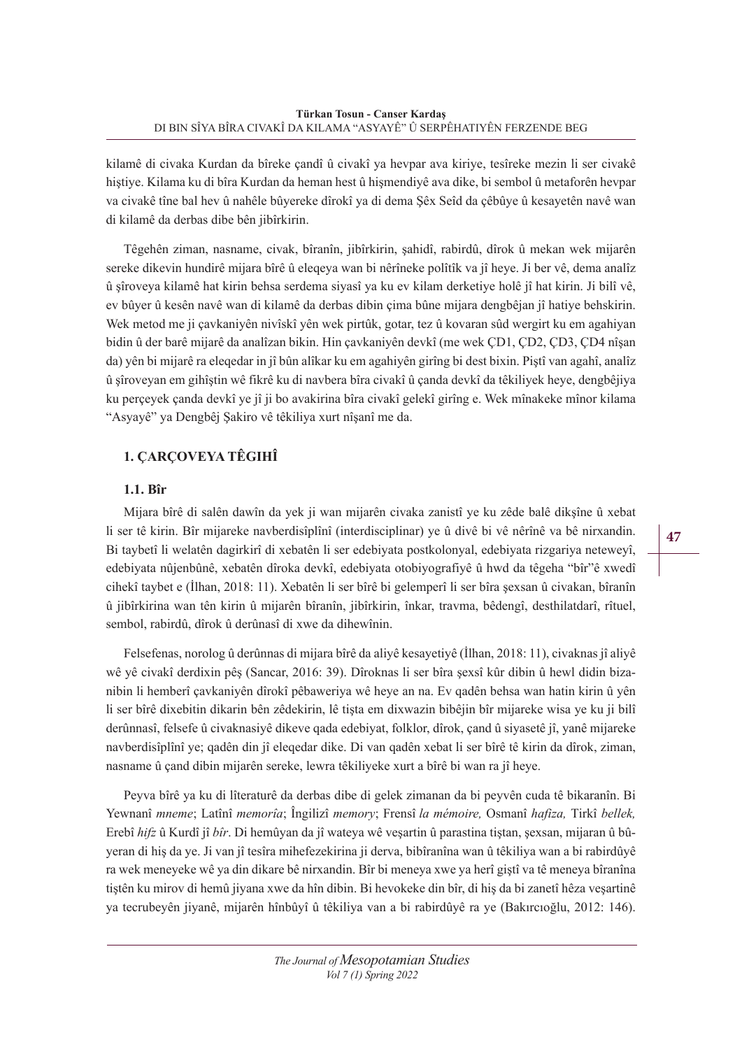kilamê di civaka Kurdan da bîreke çandî û civakî ya hevpar ava kiriye, tesîreke mezin li ser civakê hiştiye. Kilama ku di bîra Kurdan da heman hest û hişmendiyê ava dike, bi sembol û metaforên hevpar va civakê tîne bal hev û nahêle bûyereke dîrokî ya di dema Şêx Seîd da çêbûye û kesayetên navê wan di kilamê da derbas dibe bên jibîrkirin.

Têgehên ziman, nasname, civak, bîranîn, jibîrkirin, şahidî, rabirdû, dîrok û mekan wek mijarên sereke dikevin hundirê mijara bîrê û eleqeya wan bi nêrîneke polîtîk va jî heye. Ji ber vê, dema analîz û şîroveya kilamê hat kirin behsa serdema siyasî ya ku ev kilam derketiye holê jî hat kirin. Ji bilî vê, ev bûyer û kesên navê wan di kilamê da derbas dibin çima bûne mijara dengbêjan jî hatiye behskirin. Wek metod me ji çavkaniyên nivîskî yên wek pirtûk, gotar, tez û kovaran sûd wergirt ku em agahiyan bidin û der barê mijarê da analîzan bikin. Hin çavkaniyên devkî (me wek ÇD1, ÇD2, ÇD3, ÇD4 nîşan da) yên bi mijarê ra eleqedar in jî bûn alîkar ku em agahiyên girîng bi dest bixin. Piştî van agahî, analîz û şîroveyan em gihîştin wê fikrê ku di navbera bîra civakî û çanda devkî da têkiliyek heye, dengbêjiya ku perçeyek çanda devkî ye jî ji bo avakirina bîra civakî gelekî girîng e. Wek mînakeke mînor kilama "Asyayê" ya Dengbêj Şakiro vê têkiliya xurt nîşanî me da.

# **1. ÇARÇOVEYA TÊGIHÎ**

## **1.1. Bîr**

Mijara bîrê di salên dawîn da yek ji wan mijarên civaka zanistî ye ku zêde balê dikşîne û xebat li ser tê kirin. Bîr mijareke navberdisîplînî (interdisciplinar) ye û divê bi vê nêrînê va bê nirxandin. Bi taybetî li welatên dagirkirî di xebatên li ser edebiyata postkolonyal, edebiyata rizgariya neteweyî, edebiyata nûjenbûnê, xebatên dîroka devkî, edebiyata otobiyografiyê û hwd da têgeha "bîr"ê xwedî cihekî taybet e (İlhan, 2018: 11). Xebatên li ser bîrê bi gelemperî li ser bîra şexsan û civakan, bîranîn û jibîrkirina wan tên kirin û mijarên bîranîn, jibîrkirin, înkar, travma, bêdengî, desthilatdarî, rîtuel, sembol, rabirdû, dîrok û derûnasî di xwe da dihewînin.

Felsefenas, norolog û derûnnas di mijara bîrê da aliyê kesayetiyê (İlhan, 2018: 11), civaknas jî aliyê wê yê civakî derdixin pêş (Sancar, 2016: 39). Dîroknas li ser bîra şexsî kûr dibin û hewl didin bizanibin li hemberî çavkaniyên dîrokî pêbaweriya wê heye an na. Ev qadên behsa wan hatin kirin û yên li ser bîrê dixebitin dikarin bên zêdekirin, lê tişta em dixwazin bibêjin bîr mijareke wisa ye ku ji bilî derûnnasî, felsefe û civaknasiyê dikeve qada edebiyat, folklor, dîrok, çand û siyasetê jî, yanê mijareke navberdisîplînî ye; qadên din jî eleqedar dike. Di van qadên xebat li ser bîrê tê kirin da dîrok, ziman, nasname û çand dibin mijarên sereke, lewra têkiliyeke xurt a bîrê bi wan ra jî heye.

Peyva bîrê ya ku di lîteraturê da derbas dibe di gelek zimanan da bi peyvên cuda tê bikaranîn. Bi Yewnanî *mneme*; Latînî *memorîa*; Îngilizî *memory*; Frensî *la mémoire,* Osmanî *hafiza,* Tirkî *bellek,*  Erebî *hifz* û Kurdî jî *bîr*. Di hemûyan da jî wateya wê veşartin û parastina tiştan, şexsan, mijaran û bûyeran di hiş da ye. Ji van jî tesîra mihefezekirina ji derva, bibîranîna wan û têkiliya wan a bi rabirdûyê ra wek meneyeke wê ya din dikare bê nirxandin. Bîr bi meneya xwe ya herî giştî va tê meneya bîranîna tiştên ku mirov di hemû jiyana xwe da hîn dibin. Bi hevokeke din bîr, di hiş da bi zanetî hêza veşartinê ya tecrubeyên jiyanê, mijarên hînbûyî û têkiliya van a bi rabirdûyê ra ye (Bakırcıoğlu, 2012: 146).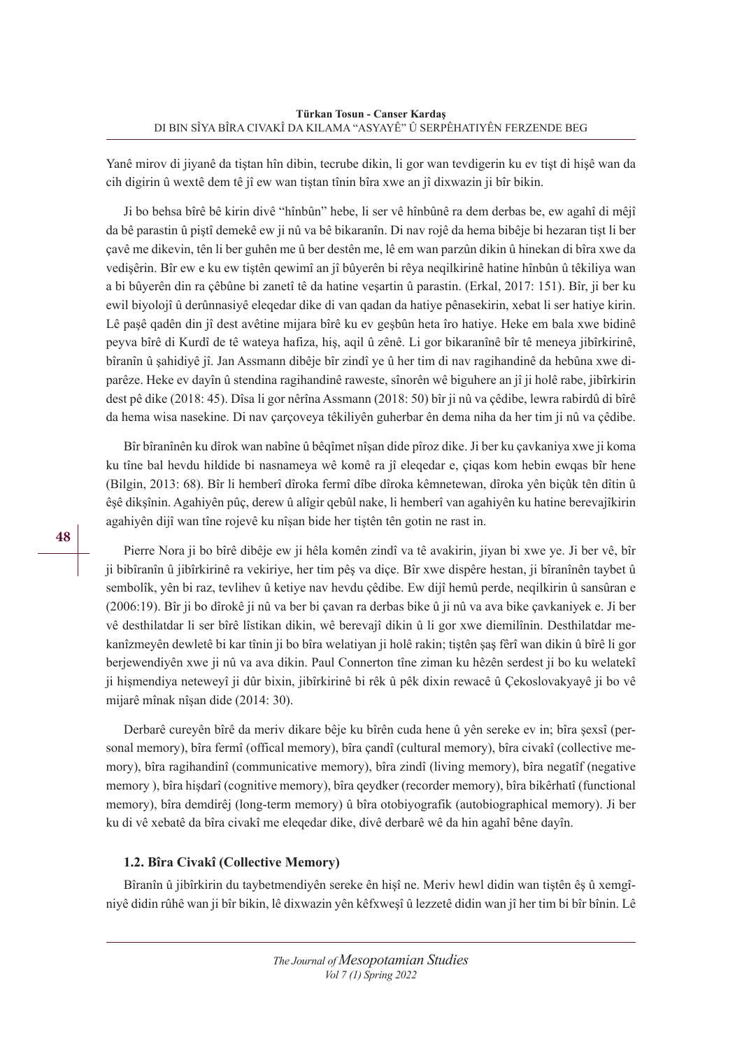Yanê mirov di jiyanê da tiştan hîn dibin, tecrube dikin, li gor wan tevdigerin ku ev tişt di hişê wan da cih digirin û wextê dem tê jî ew wan tiştan tînin bîra xwe an jî dixwazin ji bîr bikin.

Ji bo behsa bîrê bê kirin divê "hînbûn" hebe, li ser vê hînbûnê ra dem derbas be, ew agahî di mêjî da bê parastin û piştî demekê ew ji nû va bê bikaranîn. Di nav rojê da hema bibêje bi hezaran tişt li ber çavê me dikevin, tên li ber guhên me û ber destên me, lê em wan parzûn dikin û hinekan di bîra xwe da vedişêrin. Bîr ew e ku ew tiştên qewimî an jî bûyerên bi rêya neqilkirinê hatine hînbûn û têkiliya wan a bi bûyerên din ra çêbûne bi zanetî tê da hatine veşartin û parastin. (Erkal, 2017: 151). Bîr, ji ber ku ewil biyolojî û derûnnasiyê eleqedar dike di van qadan da hatiye pênasekirin, xebat li ser hatiye kirin. Lê paşê qadên din jî dest avêtine mijara bîrê ku ev geşbûn heta îro hatiye. Heke em bala xwe bidinê peyva bîrê di Kurdî de tê wateya hafiza, hiş, aqil û zênê. Li gor bikaranînê bîr tê meneya jibîrkirinê, bîranîn û şahidiyê jî. Jan Assmann dibêje bîr zindî ye û her tim di nav ragihandinê da hebûna xwe diparêze. Heke ev dayîn û stendina ragihandinê raweste, sînorên wê biguhere an jî ji holê rabe, jibîrkirin dest pê dike (2018: 45). Dîsa li gor nêrîna Assmann (2018: 50) bîr ji nû va çêdibe, lewra rabirdû di bîrê da hema wisa nasekine. Di nav çarçoveya têkiliyên guherbar ên dema niha da her tim ji nû va çêdibe.

Bîr bîranînên ku dîrok wan nabîne û bêqîmet nîşan dide pîroz dike. Ji ber ku çavkaniya xwe ji koma ku tîne bal hevdu hildide bi nasnameya wê komê ra jî eleqedar e, çiqas kom hebin ewqas bîr hene (Bilgin, 2013: 68). Bîr li hemberî dîroka fermî dîbe dîroka kêmnetewan, dîroka yên biçûk tên dîtin û êşê dikşînin. Agahiyên pûç, derew û alîgir qebûl nake, li hemberî van agahiyên ku hatine berevajîkirin agahiyên dijî wan tîne rojevê ku nîşan bide her tiştên tên gotin ne rast in.

Pierre Nora ji bo bîrê dibêje ew ji hêla komên zindî va tê avakirin, jiyan bi xwe ye. Ji ber vê, bîr ji bibîranîn û jibîrkirinê ra vekiriye, her tim pêş va diçe. Bîr xwe dispêre hestan, ji bîranînên taybet û sembolîk, yên bi raz, tevlihev û ketiye nav hevdu çêdibe. Ew dijî hemû perde, neqilkirin û sansûran e (2006:19). Bîr ji bo dîrokê ji nû va ber bi çavan ra derbas bike û ji nû va ava bike çavkaniyek e. Ji ber vê desthilatdar li ser bîrê lîstikan dikin, wê berevajî dikin û li gor xwe diemilînin. Desthilatdar mekanîzmeyên dewletê bi kar tînin ji bo bîra welatiyan ji holê rakin; tiştên şaş fêrî wan dikin û bîrê li gor berjewendiyên xwe ji nû va ava dikin. Paul Connerton tîne ziman ku hêzên serdest ji bo ku welatekî ji hişmendiya neteweyî ji dûr bixin, jibîrkirinê bi rêk û pêk dixin rewacê û Çekoslovakyayê ji bo vê mijarê mînak nîşan dide (2014: 30).

Derbarê cureyên bîrê da meriv dikare bêje ku bîrên cuda hene û yên sereke ev in; bîra şexsî (personal memory), bîra fermî (offical memory), bîra çandî (cultural memory), bîra civakî (collective memory), bîra ragihandinî (communicative memory), bîra zindî (living memory), bîra negatîf (negative memory ), bîra hişdarî (cognitive memory), bîra qeydker (recorder memory), bîra bikêrhatî (functional memory), bîra demdirêj (long-term memory) û bîra otobiyografik (autobiographical memory). Ji ber ku di vê xebatê da bîra civakî me eleqedar dike, divê derbarê wê da hin agahî bêne dayîn.

## **1.2. Bîra Civakî (Collective Memory)**

Bîranîn û jibîrkirin du taybetmendiyên sereke ên hişî ne. Meriv hewl didin wan tiştên êş û xemgîniyê didin rûhê wan ji bîr bikin, lê dixwazin yên kêfxweşî û lezzetê didin wan jî her tim bi bîr bînin. Lê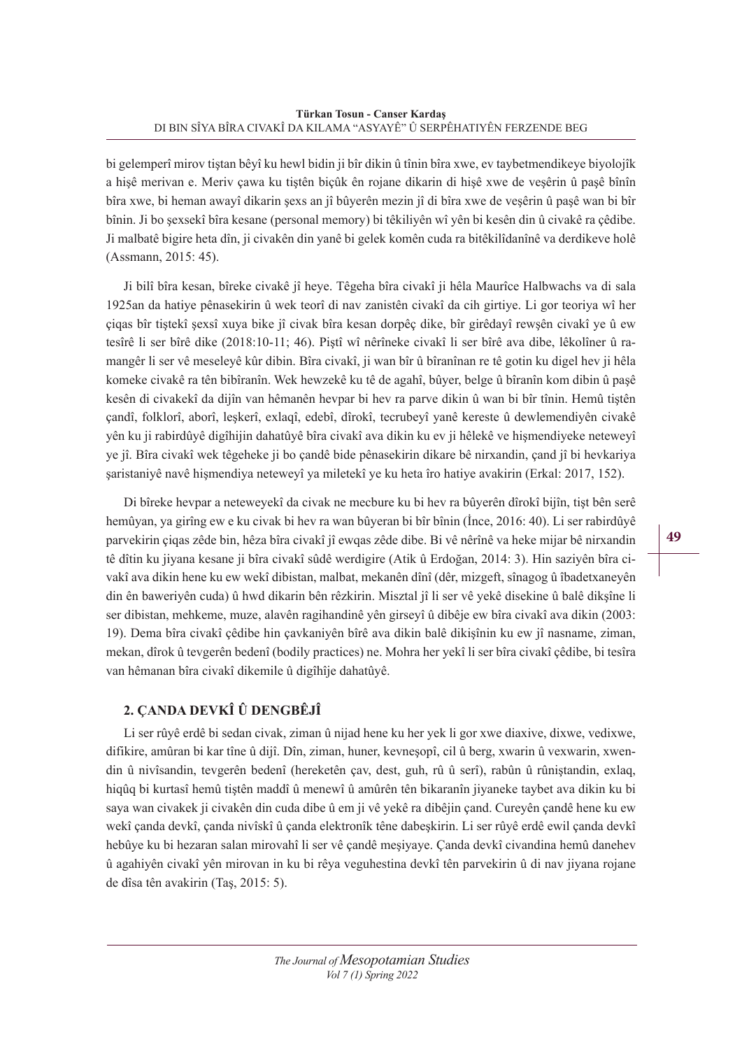bi gelemperî mirov tiştan bêyî ku hewl bidin ji bîr dikin û tînin bîra xwe, ev taybetmendikeye biyolojîk a hişê merivan e. Meriv çawa ku tiştên biçûk ên rojane dikarin di hişê xwe de veşêrin û paşê bînîn bîra xwe, bi heman awayî dikarin şexs an jî bûyerên mezin jî di bîra xwe de veşêrin û paşê wan bi bîr bînin. Ji bo şexsekî bîra kesane (personal memory) bi têkiliyên wî yên bi kesên din û civakê ra çêdibe. Ji malbatê bigire heta dîn, ji civakên din yanê bi gelek komên cuda ra bitêkilîdanînê va derdikeve holê (Assmann, 2015: 45).

Ji bilî bîra kesan, bîreke civakê jî heye. Têgeha bîra civakî ji hêla Maurîce Halbwachs va di sala 1925an da hatiye pênasekirin û wek teorî di nav zanistên civakî da cih girtiye. Li gor teoriya wî her çiqas bîr tiştekî şexsî xuya bike jî civak bîra kesan dorpêç dike, bîr girêdayî rewşên civakî ye û ew tesîrê li ser bîrê dike (2018:10-11; 46). Piştî wî nêrîneke civakî li ser bîrê ava dibe, lêkolîner û ramangêr li ser vê meseleyê kûr dibin. Bîra civakî, ji wan bîr û bîranînan re tê gotin ku digel hev ji hêla komeke civakê ra tên bibîranîn. Wek hewzekê ku tê de agahî, bûyer, belge û bîranîn kom dibin û paşê kesên di civakekî da dijîn van hêmanên hevpar bi hev ra parve dikin û wan bi bîr tînin. Hemû tiştên çandî, folklorî, aborî, leşkerî, exlaqî, edebî, dîrokî, tecrubeyî yanê kereste û dewlemendiyên civakê yên ku ji rabirdûyê digîhijin dahatûyê bîra civakî ava dikin ku ev ji hêlekê ve hişmendiyeke neteweyî ye jî. Bîra civakî wek têgeheke ji bo çandê bide pênasekirin dikare bê nirxandin, çand jî bi hevkariya şaristaniyê navê hişmendiya neteweyî ya miletekî ye ku heta îro hatiye avakirin (Erkal: 2017, 152).

Di bîreke hevpar a neteweyekî da civak ne mecbure ku bi hev ra bûyerên dîrokî bijîn, tişt bên serê hemûyan, ya girîng ew e ku civak bi hev ra wan bûyeran bi bîr bînin (İnce, 2016: 40). Li ser rabirdûyê parvekirin çiqas zêde bin, hêza bîra civakî jî ewqas zêde dibe. Bi vê nêrînê va heke mijar bê nirxandin tê dîtin ku jiyana kesane ji bîra civakî sûdê werdigire (Atik û Erdoğan, 2014: 3). Hin saziyên bîra civakî ava dikin hene ku ew wekî dibistan, malbat, mekanên dînî (dêr, mizgeft, sînagog û îbadetxaneyên din ên baweriyên cuda) û hwd dikarin bên rêzkirin. Misztal jî li ser vê yekê disekine û balê dikşîne li ser dibistan, mehkeme, muze, alavên ragihandinê yên girseyî û dibêje ew bîra civakî ava dikin (2003: 19). Dema bîra civakî çêdibe hin çavkaniyên bîrê ava dikin balê dikişînin ku ew jî nasname, ziman, mekan, dîrok û tevgerên bedenî (bodily practices) ne. Mohra her yekî li ser bîra civakî çêdibe, bi tesîra van hêmanan bîra civakî dikemile û digîhîje dahatûyê.

# **2. ÇANDA DEVKÎ Û DENGBÊJÎ**

Li ser rûyê erdê bi sedan civak, ziman û nijad hene ku her yek li gor xwe diaxive, dixwe, vedixwe, difikire, amûran bi kar tîne û dijî. Dîn, ziman, huner, kevneşopî, cil û berg, xwarin û vexwarin, xwendin û nivîsandin, tevgerên bedenî (hereketên çav, dest, guh, rû û serî), rabûn û rûniştandin, exlaq, hiqûq bi kurtasî hemû tiştên maddî û menewî û amûrên tên bikaranîn jiyaneke taybet ava dikin ku bi saya wan civakek ji civakên din cuda dibe û em ji vê yekê ra dibêjin çand. Cureyên çandê hene ku ew wekî çanda devkî, çanda nivîskî û çanda elektronîk têne dabeşkirin. Li ser rûyê erdê ewil çanda devkî hebûye ku bi hezaran salan mirovahî li ser vê çandê meşiyaye. Çanda devkî civandina hemû danehev û agahiyên civakî yên mirovan in ku bi rêya veguhestina devkî tên parvekirin û di nav jiyana rojane de dîsa tên avakirin (Taş, 2015: 5).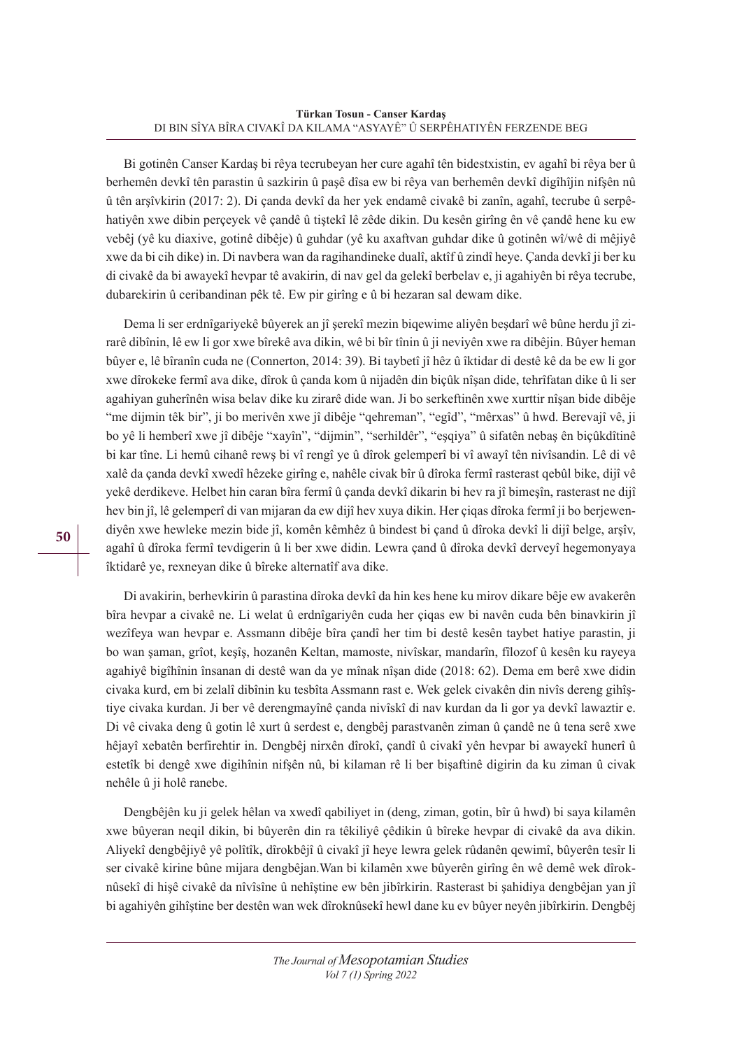Bi gotinên Canser Kardaş bi rêya tecrubeyan her cure agahî tên bidestxistin, ev agahî bi rêya ber û berhemên devkî tên parastin û sazkirin û paşê dîsa ew bi rêya van berhemên devkî digîhîjin nifşên nû û tên arşîvkirin (2017: 2). Di çanda devkî da her yek endamê civakê bi zanîn, agahî, tecrube û serpêhatiyên xwe dibin perçeyek vê çandê û tiştekî lê zêde dikin. Du kesên girîng ên vê çandê hene ku ew vebêj (yê ku diaxive, gotinê dibêje) û guhdar (yê ku axaftvan guhdar dike û gotinên wî/wê di mêjiyê xwe da bi cih dike) in. Di navbera wan da ragihandineke dualî, aktîf û zindî heye. Çanda devkî ji ber ku di civakê da bi awayekî hevpar tê avakirin, di nav gel da gelekî berbelav e, ji agahiyên bi rêya tecrube, dubarekirin û ceribandinan pêk tê. Ew pir girîng e û bi hezaran sal dewam dike.

Dema li ser erdnîgariyekê bûyerek an jî şerekî mezin biqewime aliyên beşdarî wê bûne herdu jî zirarê dibînin, lê ew li gor xwe bîrekê ava dikin, wê bi bîr tînin û ji neviyên xwe ra dibêjin. Bûyer heman bûyer e, lê bîranîn cuda ne (Connerton, 2014: 39). Bi taybetî jî hêz û îktidar di destê kê da be ew li gor xwe dîrokeke fermî ava dike, dîrok û çanda kom û nijadên din biçûk nîşan dide, tehrîfatan dike û li ser agahiyan guherînên wisa belav dike ku zirarê dide wan. Ji bo serkeftinên xwe xurttir nîşan bide dibêje "me dijmin têk bir", ji bo merivên xwe jî dibêje "qehreman", "egîd", "mêrxas" û hwd. Berevajî vê, ji bo yê li hemberî xwe jî dibêje "xayîn", "dijmin", "serhildêr", "eşqiya" û sifatên nebaş ên biçûkdîtinê bi kar tîne. Li hemû cihanê rewş bi vî rengî ye û dîrok gelemperî bi vî awayî tên nivîsandin. Lê di vê xalê da çanda devkî xwedî hêzeke girîng e, nahêle civak bîr û dîroka fermî rasterast qebûl bike, dijî vê yekê derdikeve. Helbet hin caran bîra fermî û çanda devkî dikarin bi hev ra jî bimeşîn, rasterast ne dijî hev bin jî, lê gelemperî di van mijaran da ew dijî hev xuya dikin. Her çiqas dîroka fermî ji bo berjewendiyên xwe hewleke mezin bide jî, komên kêmhêz û bindest bi çand û dîroka devkî li dijî belge, arşîv, agahî û dîroka fermî tevdigerin û li ber xwe didin. Lewra çand û dîroka devkî derveyî hegemonyaya îktidarê ye, rexneyan dike û bîreke alternatîf ava dike.

Di avakirin, berhevkirin û parastina dîroka devkî da hin kes hene ku mirov dikare bêje ew avakerên bîra hevpar a civakê ne. Li welat û erdnîgariyên cuda her çiqas ew bi navên cuda bên binavkirin jî wezîfeya wan hevpar e. Assmann dibêje bîra çandî her tim bi destê kesên taybet hatiye parastin, ji bo wan şaman, grîot, keşîş, hozanên Keltan, mamoste, nivîskar, mandarîn, fîlozof û kesên ku rayeya agahiyê bigîhînin însanan di destê wan da ye mînak nîşan dide (2018: 62). Dema em berê xwe didin civaka kurd, em bi zelalî dibînin ku tesbîta Assmann rast e. Wek gelek civakên din nivîs dereng gihîştiye civaka kurdan. Ji ber vê derengmayînê çanda nivîskî di nav kurdan da li gor ya devkî lawaztir e. Di vê civaka deng û gotin lê xurt û serdest e, dengbêj parastvanên ziman û çandê ne û tena serê xwe hêjayî xebatên berfirehtir in. Dengbêj nirxên dîrokî, çandî û civakî yên hevpar bi awayekî hunerî û estetîk bi dengê xwe digihînin nifşên nû, bi kilaman rê li ber bişaftinê digirin da ku ziman û civak nehêle û ji holê ranebe.

Dengbêjên ku ji gelek hêlan va xwedî qabiliyet in (deng, ziman, gotin, bîr û hwd) bi saya kilamên xwe bûyeran neqil dikin, bi bûyerên din ra têkiliyê çêdikin û bîreke hevpar di civakê da ava dikin. Aliyekî dengbêjiyê yê polîtîk, dîrokbêjî û civakî jî heye lewra gelek rûdanên qewimî, bûyerên tesîr li ser civakê kirine bûne mijara dengbêjan.Wan bi kilamên xwe bûyerên girîng ên wê demê wek dîroknûsekî di hişê civakê da nîvîsîne û nehîştine ew bên jibîrkirin. Rasterast bi şahidiya dengbêjan yan jî bi agahiyên gihîştine ber destên wan wek dîroknûsekî hewl dane ku ev bûyer neyên jibîrkirin. Dengbêj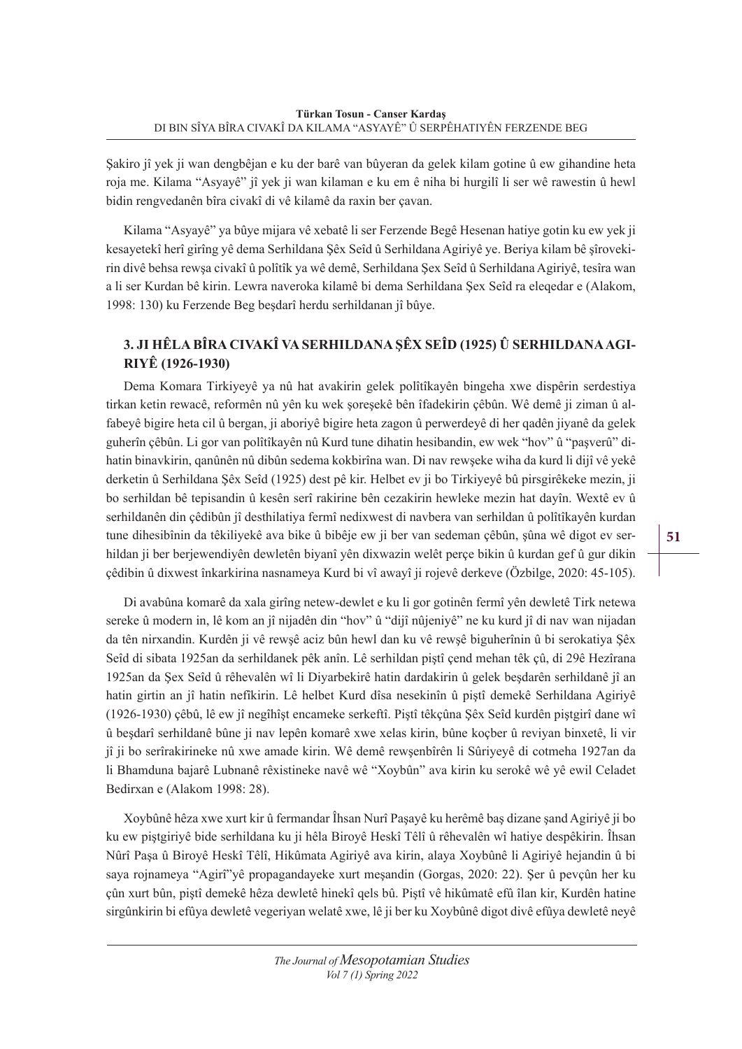Şakiro jî yek ji wan dengbêjan e ku der barê van bûyeran da gelek kilam gotine û ew gihandine heta roja me. Kilama "Asyayê" jî yek ji wan kilaman e ku em ê niha bi hurgilî li ser wê rawestin û hewl bidin rengvedanên bîra civakî di vê kilamê da raxin ber çavan.

Kilama "Asyayê" ya bûye mijara vê xebatê li ser Ferzende Begê Hesenan hatiye gotin ku ew yek ji kesayetekî herî girîng yê dema Serhildana Şêx Seîd û Serhildana Agiriyê ye. Beriya kilam bê şîrovekirin divê behsa rewşa civakî û polîtîk ya wê demê, Serhildana Şex Seîd û Serhildana Agiriyê, tesîra wan a li ser Kurdan bê kirin. Lewra naveroka kilamê bi dema Serhildana Şex Seîd ra eleqedar e (Alakom, 1998: 130) ku Ferzende Beg beşdarî herdu serhildanan jî bûye.

# **3. JI HÊLA BÎRA CIVAKÎ VA SERHILDANA ŞÊX SEÎD (1925) Û SERHILDANA AGI-RIYÊ (1926-1930)**

Dema Komara Tirkiyeyê ya nû hat avakirin gelek polîtîkayên bingeha xwe dispêrin serdestiya tirkan ketin rewacê, reformên nû yên ku wek şoreşekê bên îfadekirin çêbûn. Wê demê ji ziman û alfabeyê bigire heta cil û bergan, ji aboriyê bigire heta zagon û perwerdeyê di her qadên jiyanê da gelek guherîn çêbûn. Li gor van polîtîkayên nû Kurd tune dihatin hesibandin, ew wek "hov" û "paşverû" dihatin binavkirin, qanûnên nû dibûn sedema kokbirîna wan. Di nav rewşeke wiha da kurd li dijî vê yekê derketin û Serhildana Şêx Seîd (1925) dest pê kir. Helbet ev ji bo Tirkiyeyê bû pirsgirêkeke mezin, ji bo serhildan bê tepisandin û kesên serî rakirine bên cezakirin hewleke mezin hat dayîn. Wextê ev û serhildanên din çêdibûn jî desthilatiya fermî nedixwest di navbera van serhildan û polîtîkayên kurdan tune dihesibînin da têkiliyekê ava bike û bibêje ew ji ber van sedeman çêbûn, şûna wê digot ev serhildan ji ber berjewendiyên dewletên biyanî yên dixwazin welêt perçe bikin û kurdan gef û gur dikin çêdibin û dixwest înkarkirina nasnameya Kurd bi vî awayî ji rojevê derkeve (Özbilge, 2020: 45-105).

Di avabûna komarê da xala girîng netew-dewlet e ku li gor gotinên fermî yên dewletê Tirk netewa sereke û modern in, lê kom an jî nijadên din "hov" û "dijî nûjeniyê" ne ku kurd jî di nav wan nijadan da tên nirxandin. Kurdên ji vê rewşê aciz bûn hewl dan ku vê rewşê biguherînin û bi serokatiya Şêx Seîd di sibata 1925an da serhildanek pêk anîn. Lê serhildan piştî çend mehan têk çû, di 29ê Hezîrana 1925an da Şex Seîd û rêhevalên wî li Diyarbekirê hatin dardakirin û gelek beşdarên serhildanê jî an hatin girtin an jî hatin nefîkirin. Lê helbet Kurd dîsa nesekinîn û piştî demekê Serhildana Agiriyê (1926-1930) çêbû, lê ew jî negîhîşt encameke serkeftî. Piştî têkçûna Şêx Seîd kurdên piştgirî dane wî û beşdarî serhildanê bûne ji nav lepên komarê xwe xelas kirin, bûne koçber û reviyan binxetê, li vir jî ji bo serîrakirineke nû xwe amade kirin. Wê demê rewşenbîrên li Sûriyeyê di cotmeha 1927an da li Bhamduna bajarê Lubnanê rêxistineke navê wê "Xoybûn" ava kirin ku serokê wê yê ewil Celadet Bedirxan e (Alakom 1998: 28).

Xoybûnê hêza xwe xurt kir û fermandar Îhsan Nurî Paşayê ku herêmê baş dizane şand Agiriyê ji bo ku ew piştgiriyê bide serhildana ku ji hêla Biroyê Heskî Têlî û rêhevalên wî hatiye despêkirin. Îhsan Nûrî Paşa û Biroyê Heskî Têlî, Hikûmata Agiriyê ava kirin, alaya Xoybûnê li Agiriyê hejandin û bi saya rojnameya "Agirî"yê propagandayeke xurt meşandin (Gorgas, 2020: 22). Şer û pevçûn her ku çûn xurt bûn, piştî demekê hêza dewletê hinekî qels bû. Piştî vê hikûmatê efû îlan kir, Kurdên hatine sirgûnkirin bi efûya dewletê vegeriyan welatê xwe, lê ji ber ku Xoybûnê digot divê efûya dewletê neyê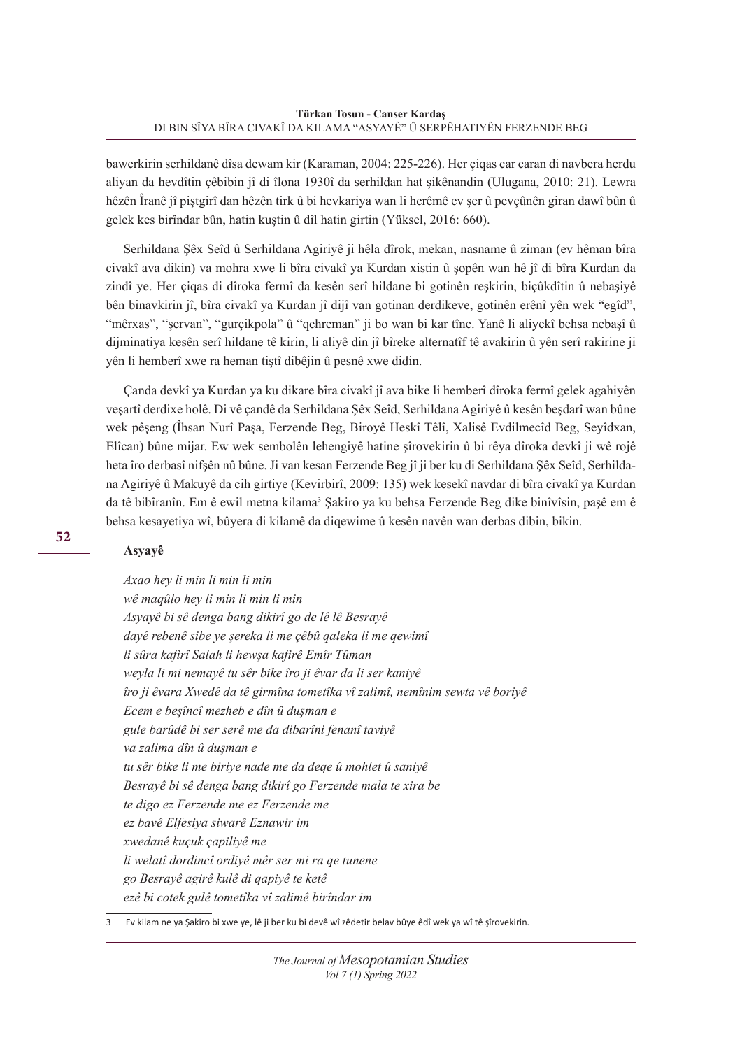bawerkirin serhildanê dîsa dewam kir (Karaman, 2004: 225-226). Her çiqas car caran di navbera herdu aliyan da hevdîtin çêbibin jî di îlona 1930î da serhildan hat şikênandin (Ulugana, 2010: 21). Lewra hêzên Îranê jî piştgirî dan hêzên tirk û bi hevkariya wan li herêmê ev şer û pevçûnên giran dawî bûn û gelek kes birîndar bûn, hatin kuştin û dîl hatin girtin (Yüksel, 2016: 660).

Serhildana Şêx Seîd û Serhildana Agiriyê ji hêla dîrok, mekan, nasname û ziman (ev hêman bîra civakî ava dikin) va mohra xwe li bîra civakî ya Kurdan xistin û şopên wan hê jî di bîra Kurdan da zindî ye. Her çiqas di dîroka fermî da kesên serî hildane bi gotinên reşkirin, biçûkdîtin û nebaşiyê bên binavkirin jî, bîra civakî ya Kurdan jî dijî van gotinan derdikeve, gotinên erênî yên wek "egîd", "mêrxas", "şervan", "gurçikpola" û "qehreman" ji bo wan bi kar tîne. Yanê li aliyekî behsa nebaşî û dijminatiya kesên serî hildane tê kirin, li aliyê din jî bîreke alternatîf tê avakirin û yên serî rakirine ji yên li hemberî xwe ra heman tiştî dibêjin û pesnê xwe didin.

Çanda devkî ya Kurdan ya ku dikare bîra civakî jî ava bike li hemberî dîroka fermî gelek agahiyên veşartî derdixe holê. Di vê çandê da Serhildana Şêx Seîd, Serhildana Agiriyê û kesên beşdarî wan bûne wek pêşeng (Îhsan Nurî Paşa, Ferzende Beg, Biroyê Heskî Têlî, Xalisê Evdilmecîd Beg, Seyîdxan, Elîcan) bûne mijar. Ew wek sembolên lehengiyê hatine şîrovekirin û bi rêya dîroka devkî ji wê rojê heta îro derbasî nifşên nû bûne. Ji van kesan Ferzende Beg jî ji ber ku di Serhildana Şêx Seîd, Serhildana Agiriyê û Makuyê da cih girtiye (Kevirbirî, 2009: 135) wek kesekî navdar di bîra civakî ya Kurdan da tê bibîranîn. Em ê ewil metna kilama<sup>3</sup> Şakiro ya ku behsa Ferzende Beg dike binîvîsin, paşê em ê behsa kesayetiya wî, bûyera di kilamê da diqewime û kesên navên wan derbas dibin, bikin.

#### **Asyayê**

*Axao hey li min li min li min wê maqûlo hey li min li min li min Asyayê bi sê denga bang dikirî go de lê lê Besrayê dayê rebenê sibe ye şereka li me çêbû qaleka li me qewimî li sûra kafirî Salah li hewşa kafirê Emîr Tûman weyla li mi nemayê tu sêr bike îro ji êvar da li ser kaniyê îro ji êvara Xwedê da tê girmîna tometîka vî zalimî, nemînim sewta vê boriyê Ecem e beşîncî mezheb e dîn û duşman e gule barûdê bi ser serê me da dibarîni fenanî taviyê va zalima dîn û duşman e tu sêr bike li me biriye nade me da deqe û mohlet û saniyê Besrayê bi sê denga bang dikirî go Ferzende mala te xira be te digo ez Ferzende me ez Ferzende me ez bavê Elfesiya siwarê Eznawir im xwedanê kuçuk çapiliyê me li welatî dordincî ordiyê mêr ser mi ra qe tunene go Besrayê agirê kulê di qapiyê te ketê ezê bi cotek gulê tometîka vî zalimê birîndar im*

3 Ev kilam ne ya Şakiro bi xwe ye, lê ji ber ku bi devê wî zêdetir belav bûye êdî wek ya wî tê şîrovekirin.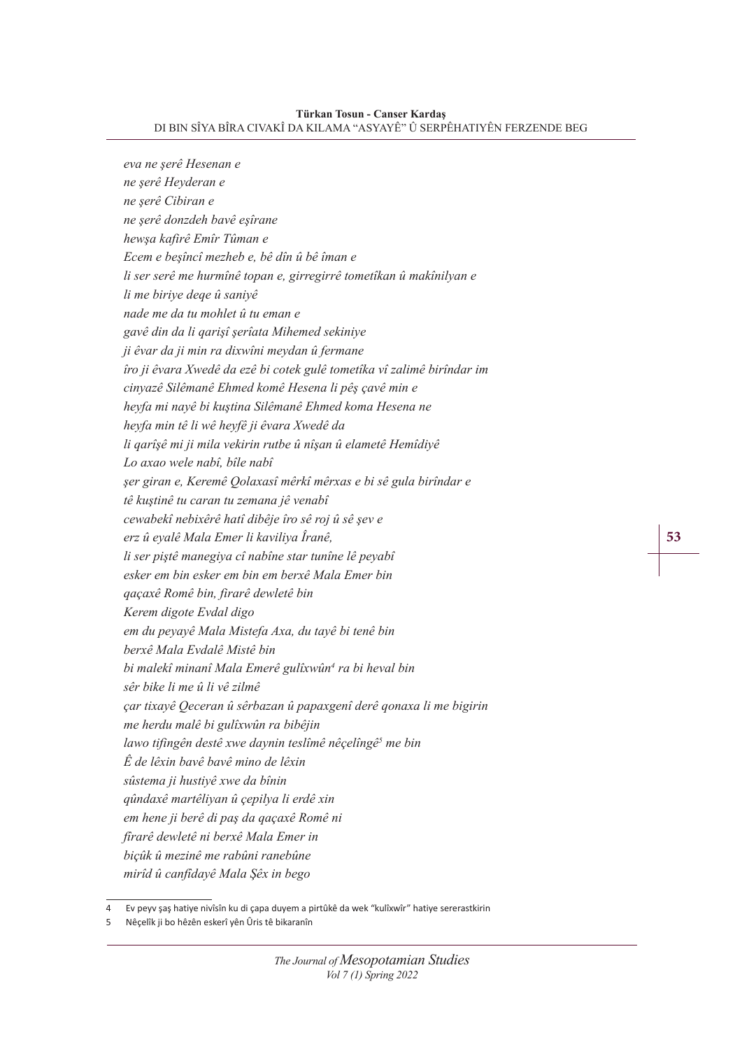**Türkan Tosun - Canser Kardaş**

DI BIN SÎYA BÎRA CIVAKÎ DA KILAMA "ASYAYÊ" Û SERPÊHATIYÊN FERZENDE BEG

*eva ne şerê Hesenan e ne şerê Heyderan e ne şerê Cibiran e ne şerê donzdeh bavê eşîrane hewşa kafirê Emîr Tûman e Ecem e beşîncî mezheb e, bê dîn û bê îman e li ser serê me hurmînê topan e, girregirrê tometîkan û makînilyan e li me biriye deqe û saniyê nade me da tu mohlet û tu eman e gavê din da li qarişî şerîata Mihemed sekiniye ji êvar da ji min ra dixwîni meydan û fermane îro ji êvara Xwedê da ezê bi cotek gulê tometîka vî zalimê birîndar im cinyazê Silêmanê Ehmed komê Hesena li pêş çavê min e heyfa mi nayê bi kuştina Silêmanê Ehmed koma Hesena ne heyfa min tê li wê heyfê ji êvara Xwedê da li qarîşê mi ji mila vekirin rutbe û nîşan û elametê Hemîdiyê Lo axao wele nabî, bîle nabî şer giran e, Keremê Qolaxasî mêrkî mêrxas e bi sê gula birîndar e tê kuştinê tu caran tu zemana jê venabî cewabekî nebixêrê hatî dibêje îro sê roj û sê şev e erz û eyalê Mala Emer li kaviliya Îranê, li ser piştê manegiya cî nabîne star tunîne lê peyabî esker em bin esker em bin em berxê Mala Emer bin qaçaxê Romê bin, firarê dewletê bin Kerem digote Evdal digo em du peyayê Mala Mistefa Axa, du tayê bi tenê bin berxê Mala Evdalê Mistê bin bi malekî minanî Mala Emerê gulîxwûn<sup>4</sup> ra bi heval bin sêr bike li me û li vê zilmê çar tixayê Qeceran û sêrbazan û papaxgenî derê qonaxa li me bigirin me herdu malê bi gulîxwûn ra bibêjin lawo tifingên destê xwe daynin teslîmê nêçelîngê<sup>5</sup> me bin Ê de lêxin bavê bavê mino de lêxin sûstema ji hustiyê xwe da bînin qûndaxê martêliyan û çepilya li erdê xin em hene ji berê di paş da qaçaxê Romê ni fîrarê dewletê ni berxê Mala Emer in biçûk û mezinê me rabûni ranebûne mirîd û canfîdayê Mala Şêx in bego*

**53** 

<sup>4</sup> Ev peyv şaş hatiye nivîsîn ku di çapa duyem a pirtûkê da wek "kulîxwîr" hatiye sererastkirin

<sup>5</sup> Nêçelîk ji bo hêzên eskerî yên Ûris tê bikaranîn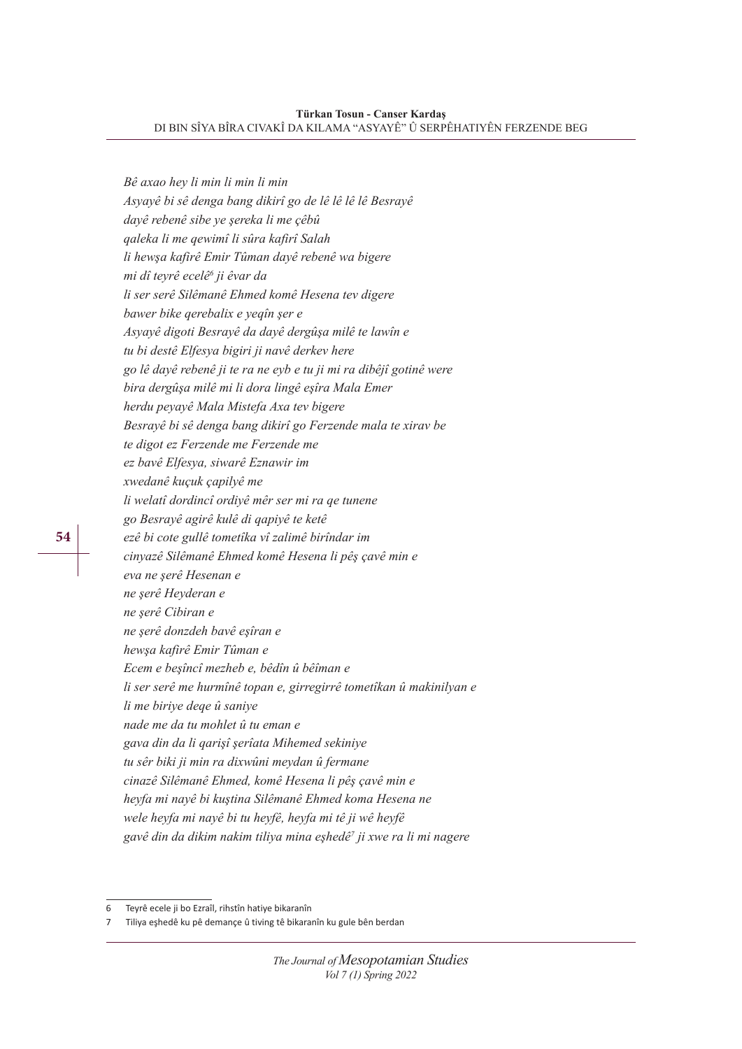*Bê axao hey li min li min li min Asyayê bi sê denga bang dikirî go de lê lê lê lê Besrayê dayê rebenê sibe ye şereka li me çêbû qaleka li me qewimî li sûra kafirî Salah li hewşa kafirê Emir Tûman dayê rebenê wa bigere mi dî teyrê ecelê<sup>6</sup> ji êvar da li ser serê Silêmanê Ehmed komê Hesena tev digere bawer bike qerebalix e yeqîn şer e Asyayê digoti Besrayê da dayê dergûşa milê te lawîn e tu bi destê Elfesya bigiri ji navê derkev here go lê dayê rebenê ji te ra ne eyb e tu ji mi ra dibêjî gotinê were bira dergûşa milê mi li dora lingê eşîra Mala Emer herdu peyayê Mala Mistefa Axa tev bigere Besrayê bi sê denga bang dikirî go Ferzende mala te xirav be te digot ez Ferzende me Ferzende me ez bavê Elfesya, siwarê Eznawir im xwedanê kuçuk çapilyê me li welatî dordincî ordiyê mêr ser mi ra qe tunene go Besrayê agirê kulê di qapiyê te ketê ezê bi cote gullê tometîka vî zalimê birîndar im cinyazê Silêmanê Ehmed komê Hesena li pêş çavê min e eva ne şerê Hesenan e ne şerê Heyderan e ne şerê Cibiran e ne şerê donzdeh bavê eşîran e hewşa kafirê Emir Tûman e Ecem e beşîncî mezheb e, bêdîn û bêîman e li ser serê me hurmînê topan e, girregirrê tometîkan û makinilyan e li me biriye deqe û saniye nade me da tu mohlet û tu eman e gava din da li qarişî şerîata Mihemed sekiniye tu sêr biki ji min ra dixwûni meydan û fermane cinazê Silêmanê Ehmed, komê Hesena li pêş çavê min e heyfa mi nayê bi kuştina Silêmanê Ehmed koma Hesena ne wele heyfa mi nayê bi tu heyfê, heyfa mi tê ji wê heyfê gavê din da dikim nakim tiliya mina eşhedê<sup>7</sup> ji xwe ra li mi nagere*

Teyrê ecele ji bo Ezraîl, rihstîn hatiye bikaranîn

<sup>7</sup> Tiliya eşhedê ku pê demançe û tiving tê bikaranîn ku gule bên berdan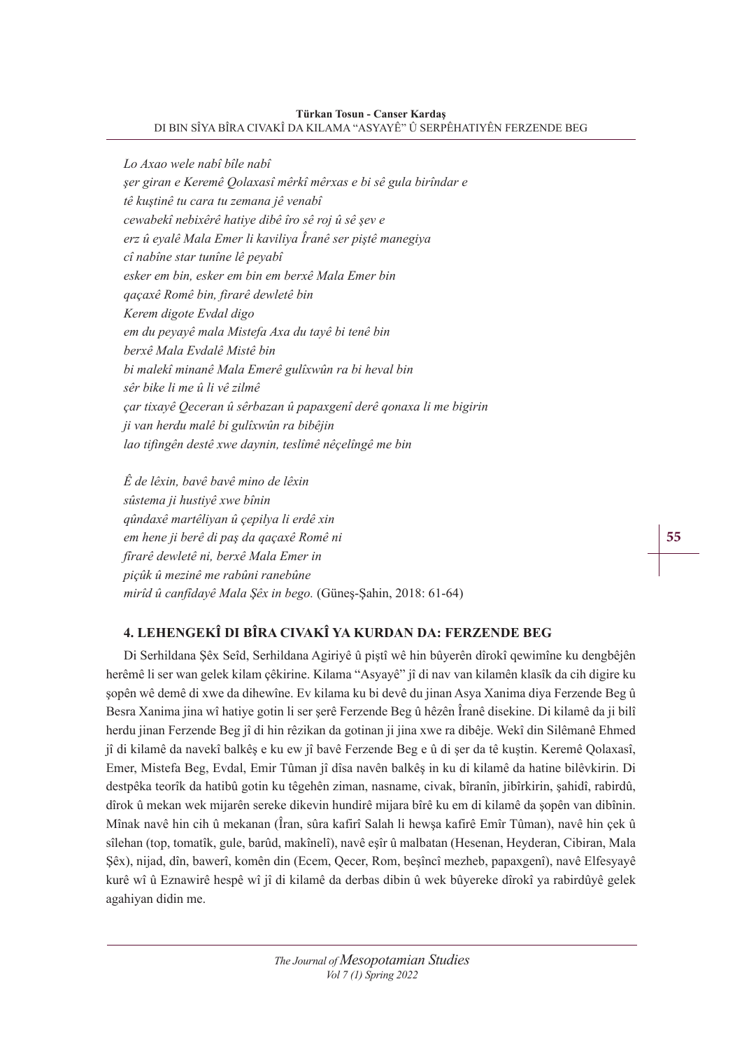*Lo Axao wele nabî bîle nabî şer giran e Keremê Qolaxasî mêrkî mêrxas e bi sê gula birîndar e tê kuştinê tu cara tu zemana jê venabî cewabekî nebixêrê hatiye dibê îro sê roj û sê şev e erz û eyalê Mala Emer li kaviliya Îranê ser piştê manegiya cî nabîne star tunîne lê peyabî esker em bin, esker em bin em berxê Mala Emer bin qaçaxê Romê bin, firarê dewletê bin Kerem digote Evdal digo em du peyayê mala Mistefa Axa du tayê bi tenê bin berxê Mala Evdalê Mistê bin bi malekî minanê Mala Emerê gulîxwûn ra bi heval bin sêr bike li me û li vê zilmê çar tixayê Qeceran û sêrbazan û papaxgenî derê qonaxa li me bigirin ji van herdu malê bi gulîxwûn ra bibêjin lao tifingên destê xwe daynin, teslîmê nêçelîngê me bin*

*Ê de lêxin, bavê bavê mino de lêxin sûstema ji hustiyê xwe bînin qûndaxê martêliyan û çepilya li erdê xin em hene ji berê di paş da qaçaxê Romê ni fîrarê dewletê ni, berxê Mala Emer in piçûk û mezinê me rabûni ranebûne mirîd û canfîdayê Mala Şêx in bego.* (Güneş-Şahin, 2018: 61-64)

# **4. LEHENGEKÎ DI BÎRA CIVAKÎ YA KURDAN DA: FERZENDE BEG**

Di Serhildana Şêx Seîd, Serhildana Agiriyê û piştî wê hin bûyerên dîrokî qewimîne ku dengbêjên herêmê li ser wan gelek kilam çêkirine. Kilama "Asyayê" jî di nav van kilamên klasîk da cih digire ku şopên wê demê di xwe da dihewîne. Ev kilama ku bi devê du jinan Asya Xanima diya Ferzende Beg û Besra Xanima jina wî hatiye gotin li ser şerê Ferzende Beg û hêzên Îranê disekine. Di kilamê da ji bilî herdu jinan Ferzende Beg jî di hin rêzikan da gotinan ji jina xwe ra dibêje. Wekî din Silêmanê Ehmed jî di kilamê da navekî balkêş e ku ew jî bavê Ferzende Beg e û di şer da tê kuştin. Keremê Qolaxasî, Emer, Mistefa Beg, Evdal, Emir Tûman jî dîsa navên balkêş in ku di kilamê da hatine bilêvkirin. Di destpêka teorîk da hatibû gotin ku têgehên ziman, nasname, civak, bîranîn, jibîrkirin, şahidî, rabirdû, dîrok û mekan wek mijarên sereke dikevin hundirê mijara bîrê ku em di kilamê da şopên van dibînin. Mînak navê hin cih û mekanan (Îran, sûra kafirî Salah li hewşa kafirê Emîr Tûman), navê hin çek û sîlehan (top, tomatîk, gule, barûd, makînelî), navê eşîr û malbatan (Hesenan, Heyderan, Cibiran, Mala Şêx), nijad, dîn, bawerî, komên din (Ecem, Qecer, Rom, beşîncî mezheb, papaxgenî), navê Elfesyayê kurê wî û Eznawirê hespê wî jî di kilamê da derbas dibin û wek bûyereke dîrokî ya rabirdûyê gelek agahiyan didin me.

**55**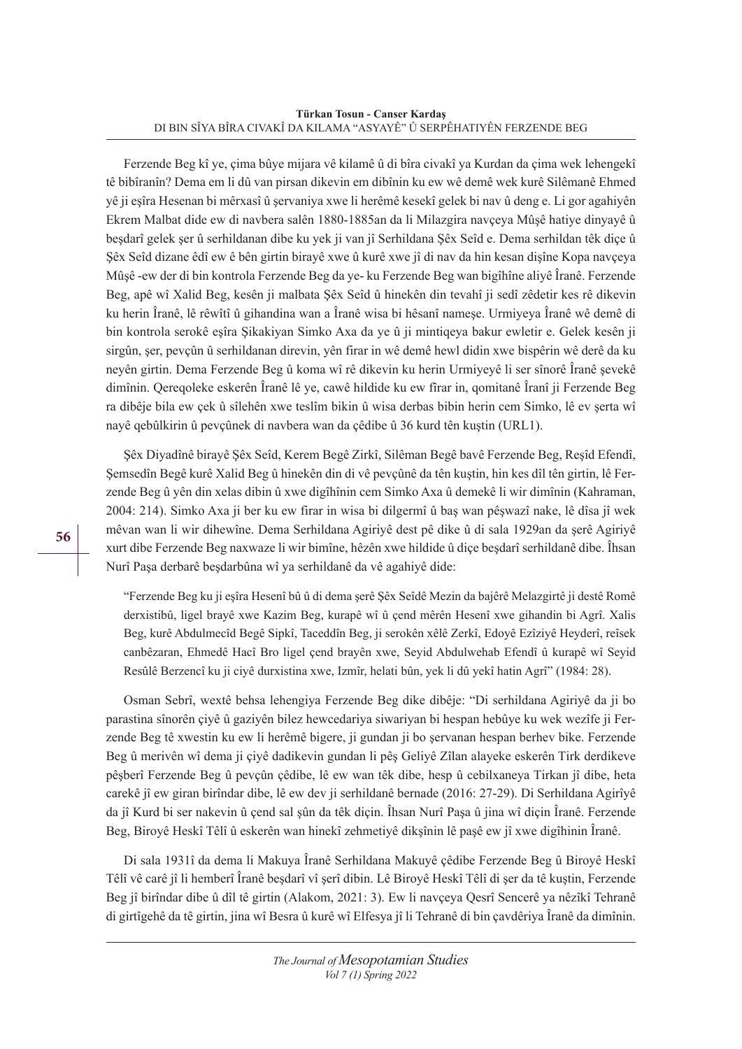Ferzende Beg kî ye, çima bûye mijara vê kilamê û di bîra civakî ya Kurdan da çima wek lehengekî tê bibîranîn? Dema em li dû van pirsan dikevin em dibînin ku ew wê demê wek kurê Silêmanê Ehmed yê ji eşîra Hesenan bi mêrxasî û şervaniya xwe li herêmê kesekî gelek bi nav û deng e. Li gor agahiyên Ekrem Malbat dide ew di navbera salên 1880-1885an da li Milazgira navçeya Mûşê hatiye dinyayê û beşdarî gelek şer û serhildanan dibe ku yek ji van jî Serhildana Şêx Seîd e. Dema serhildan têk diçe û Şêx Seîd dizane êdî ew ê bên girtin birayê xwe û kurê xwe jî di nav da hin kesan dişîne Kopa navçeya Mûşê -ew der di bin kontrola Ferzende Beg da ye- ku Ferzende Beg wan bigîhîne aliyê Îranê. Ferzende Beg, apê wî Xalid Beg, kesên ji malbata Şêx Seîd û hinekên din tevahî ji sedî zêdetir kes rê dikevin ku herin Îranê, lê rêwîtî û gihandina wan a Îranê wisa bi hêsanî nameşe. Urmiyeya Îranê wê demê di bin kontrola serokê eşîra Şikakiyan Simko Axa da ye û ji mintiqeya bakur ewletir e. Gelek kesên ji sirgûn, şer, pevçûn û serhildanan direvin, yên firar in wê demê hewl didin xwe bispêrin wê derê da ku neyên girtin. Dema Ferzende Beg û koma wî rê dikevin ku herin Urmiyeyê li ser sînorê Îranê şevekê dimînin. Qereqoleke eskerên Îranê lê ye, cawê hildide ku ew fîrar in, qomitanê Îranî ji Ferzende Beg ra dibêje bila ew çek û sîlehên xwe teslîm bikin û wisa derbas bibin herin cem Simko, lê ev şerta wî nayê qebûlkirin û pevçûnek di navbera wan da çêdibe û 36 kurd tên kuştin (URL1).

Şêx Diyadînê birayê Şêx Seîd, Kerem Begê Zirkî, Silêman Begê bavê Ferzende Beg, Reşîd Efendî, Şemsedîn Begê kurê Xalid Beg û hinekên din di vê pevçûnê da tên kuştin, hin kes dîl tên girtin, lê Ferzende Beg û yên din xelas dibin û xwe digîhînin cem Simko Axa û demekê li wir dimînin (Kahraman, 2004: 214). Simko Axa ji ber ku ew firar in wisa bi dilgermî û baş wan pêşwazî nake, lê dîsa jî wek mêvan wan li wir dihewîne. Dema Serhildana Agiriyê dest pê dike û di sala 1929an da şerê Agiriyê xurt dibe Ferzende Beg naxwaze li wir bimîne, hêzên xwe hildide û diçe beşdarî serhildanê dibe. Îhsan Nurî Paşa derbarê beşdarbûna wî ya serhildanê da vê agahiyê dide:

"Ferzende Beg ku ji eşîra Hesenî bû û di dema şerê Şêx Seîdê Mezin da bajêrê Melazgirtê ji destê Romê derxistibû, ligel brayê xwe Kazim Beg, kurapê wî û çend mêrên Hesenî xwe gihandin bi Agrî. Xalis Beg, kurê Abdulmecîd Begê Sipkî, Taceddîn Beg, ji serokên xêlê Zerkî, Edoyê Ezîziyê Heyderî, reîsek canbêzaran, Ehmedê Hacî Bro ligel çend brayên xwe, Seyid Abdulwehab Efendî û kurapê wî Seyid Resûlê Berzencî ku ji ciyê durxistina xwe, Izmîr, helati bûn, yek li dû yekî hatin Agrî" (1984: 28).

Osman Sebrî, wextê behsa lehengiya Ferzende Beg dike dibêje: "Di serhildana Agiriyê da ji bo parastina sînorên çiyê û gaziyên bilez hewcedariya siwariyan bi hespan hebûye ku wek wezîfe ji Ferzende Beg tê xwestin ku ew li herêmê bigere, ji gundan ji bo şervanan hespan berhev bike. Ferzende Beg û merivên wî dema ji çiyê dadikevin gundan li pêş Geliyê Zîlan alayeke eskerên Tirk derdikeve pêşberî Ferzende Beg û pevçûn çêdibe, lê ew wan têk dibe, hesp û cebilxaneya Tirkan jî dibe, heta carekê jî ew giran birîndar dibe, lê ew dev ji serhildanê bernade (2016: 27-29). Di Serhildana Agirîyê da jî Kurd bi ser nakevin û çend sal şûn da têk diçin. Îhsan Nurî Paşa û jina wî diçin Îranê. Ferzende Beg, Biroyê Heskî Têlî û eskerên wan hinekî zehmetiyê dikşînin lê paşê ew jî xwe digîhinin Îranê.

Di sala 1931î da dema li Makuya Îranê Serhildana Makuyê çêdibe Ferzende Beg û Biroyê Heskî Têlî vê carê jî li hemberî Îranê beşdarî vî şerî dibin. Lê Biroyê Heskî Têlî di şer da tê kuştin, Ferzende Beg jî birîndar dibe û dîl tê girtin (Alakom, 2021: 3). Ew li navçeya Qesrî Sencerê ya nêzîkî Tehranê di girtîgehê da tê girtin, jina wî Besra û kurê wî Elfesya jî li Tehranê di bin çavdêriya Îranê da dimînin.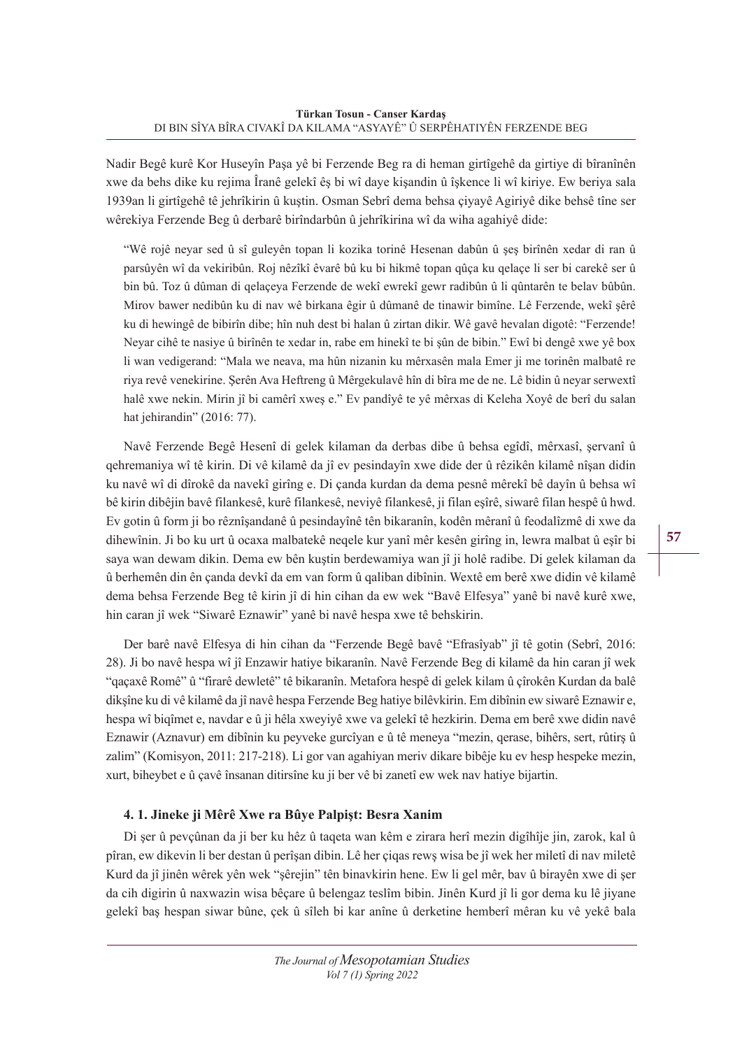Nadir Begê kurê Kor Huseyîn Paşa yê bi Ferzende Beg ra di heman girtîgehê da girtiye di bîranînên xwe da behs dike ku rejima Îranê gelekî êş bi wî daye kişandin û îşkence li wî kiriye. Ew beriya sala 1939an li girtîgehê tê jehrîkirin û kuştin. Osman Sebrî dema behsa çiyayê Agiriyê dike behsê tîne ser wêrekiya Ferzende Beg û derbarê birîndarbûn û jehrîkirina wî da wiha agahiyê dide:

"Wê rojê neyar sed û sî guleyên topan li kozika torinê Hesenan dabûn û şeş birînên xedar di ran û parsûyên wî da vekiribûn. Roj nêzîkî êvarê bû ku bi hikmê topan qûça ku qelaçe li ser bi carekê ser û bin bû. Toz û dûman di qelaçeya Ferzende de wekî ewrekî gewr radibûn û li qûntarên te belav bûbûn. Mirov bawer nedibûn ku di nav wê birkana êgir û dûmanê de tinawir bimîne. Lê Ferzende, wekî şêrê ku di hewingê de bibirîn dibe; hîn nuh dest bi halan û zirtan dikir. Wê gavê hevalan digotê: "Ferzende! Neyar cihê te nasiye û birînên te xedar in, rabe em hinekî te bi şûn de bibin." Ewî bi dengê xwe yê box li wan vedigerand: "Mala we neava, ma hûn nizanin ku mêrxasên mala Emer ji me torinên malbatê re riya revê venekirine. Şerên Ava Heftreng û Mêrgekulavê hîn di bîra me de ne. Lê bidin û neyar serwextî halê xwe nekin. Mirin jî bi camêrî xweş e." Ev pandîyê te yê mêrxas di Keleha Xoyê de berî du salan hat jehirandin" (2016: 77).

Navê Ferzende Begê Hesenî di gelek kilaman da derbas dibe û behsa egîdî, mêrxasî, şervanî û qehremaniya wî tê kirin. Di vê kilamê da jî ev pesindayîn xwe dide der û rêzikên kilamê nîşan didin ku navê wî di dîrokê da navekî girîng e. Di çanda kurdan da dema pesnê mêrekî bê dayîn û behsa wî bê kirin dibêjin bavê filankesê, kurê filankesê, neviyê filankesê, ji filan eşîrê, siwarê filan hespê û hwd. Ev gotin û form ji bo rêznîşandanê û pesindayînê tên bikaranîn, kodên mêranî û feodalîzmê di xwe da dihewînin. Ji bo ku urt û ocaxa malbatekê neqele kur yanî mêr kesên girîng in, lewra malbat û eşîr bi saya wan dewam dikin. Dema ew bên kuştin berdewamiya wan jî ji holê radibe. Di gelek kilaman da û berhemên din ên çanda devkî da em van form û qaliban dibînin. Wextê em berê xwe didin vê kilamê dema behsa Ferzende Beg tê kirin jî di hin cihan da ew wek "Bavê Elfesya" yanê bi navê kurê xwe, hin caran jî wek "Siwarê Eznawir" yanê bi navê hespa xwe tê behskirin.

Der barê navê Elfesya di hin cihan da "Ferzende Begê bavê "Efrasîyab" jî tê gotin (Sebrî, 2016: 28). Ji bo navê hespa wî jî Enzawir hatiye bikaranîn. Navê Ferzende Beg di kilamê da hin caran jî wek "qaçaxê Romê" û "firarê dewletê" tê bikaranîn. Metafora hespê di gelek kilam û çîrokên Kurdan da balê dikşîne ku di vê kilamê da jî navê hespa Ferzende Beg hatiye bilêvkirin. Em dibînin ew siwarê Eznawir e, hespa wî biqîmet e, navdar e û ji hêla xweyiyê xwe va gelekî tê hezkirin. Dema em berê xwe didin navê Eznawir (Aznavur) em dibînin ku peyveke gurcîyan e û tê meneya "mezin, qerase, bihêrs, sert, rûtirş û zalim" (Komisyon, 2011: 217-218). Li gor van agahiyan meriv dikare bibêje ku ev hesp hespeke mezin, xurt, biheybet e û çavê însanan ditirsîne ku ji ber vê bi zanetî ew wek nav hatiye bijartin.

## **4. 1. Jineke ji Mêrê Xwe ra Bûye Palpişt: Besra Xanim**

Di şer û pevçûnan da ji ber ku hêz û taqeta wan kêm e zirara herî mezin digîhîje jin, zarok, kal û pîran, ew dikevin li ber destan û perîşan dibin. Lê her çiqas rewş wisa be jî wek her miletî di nav miletê Kurd da jî jinên wêrek yên wek "şêrejin" tên binavkirin hene. Ew li gel mêr, bav û birayên xwe di şer da cih digirin û naxwazin wisa bêçare û belengaz teslîm bibin. Jinên Kurd jî li gor dema ku lê jiyane gelekî baş hespan siwar bûne, çek û sîleh bi kar anîne û derketine hemberî mêran ku vê yekê bala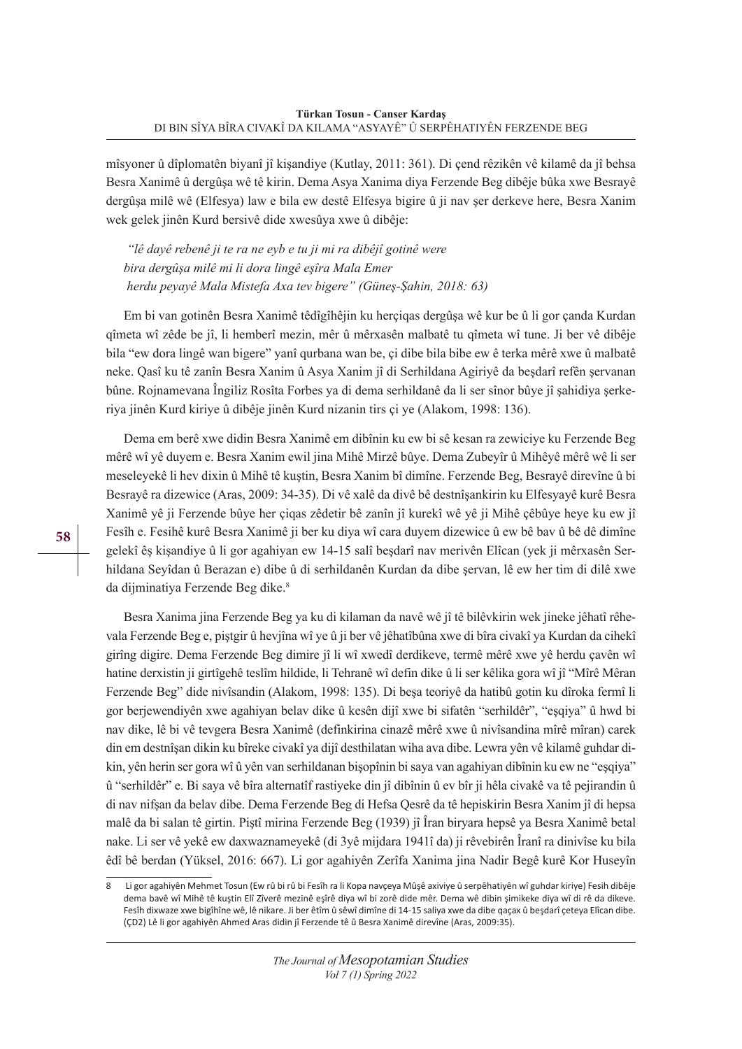mîsyoner û dîplomatên biyanî jî kişandiye (Kutlay, 2011: 361). Di çend rêzikên vê kilamê da jî behsa Besra Xanimê û dergûşa wê tê kirin. Dema Asya Xanima diya Ferzende Beg dibêje bûka xwe Besrayê dergûşa milê wê (Elfesya) law e bila ew destê Elfesya bigire û ji nav şer derkeve here, Besra Xanim wek gelek jinên Kurd bersivê dide xwesûya xwe û dibêje:

 *"lê dayê rebenê ji te ra ne eyb e tu ji mi ra dibêjî gotinê were bira dergûşa milê mi li dora lingê eşîra Mala Emer herdu peyayê Mala Mistefa Axa tev bigere" (Güneş-Şahin, 2018: 63)*

Em bi van gotinên Besra Xanimê têdîgîhêjin ku herçiqas dergûşa wê kur be û li gor çanda Kurdan qîmeta wî zêde be jî, li hemberî mezin, mêr û mêrxasên malbatê tu qîmeta wî tune. Ji ber vê dibêje bila "ew dora lingê wan bigere" yanî qurbana wan be, çi dibe bila bibe ew ê terka mêrê xwe û malbatê neke. Qasî ku tê zanîn Besra Xanim û Asya Xanim jî di Serhildana Agiriyê da beşdarî refên şervanan bûne. Rojnamevana Îngiliz Rosîta Forbes ya di dema serhildanê da li ser sînor bûye jî şahidiya şerkeriya jinên Kurd kiriye û dibêje jinên Kurd nizanin tirs çi ye (Alakom, 1998: 136).

Dema em berê xwe didin Besra Xanimê em dibînin ku ew bi sê kesan ra zewiciye ku Ferzende Beg mêrê wî yê duyem e. Besra Xanim ewil jina Mihê Mirzê bûye. Dema Zubeyîr û Mihêyê mêrê wê li ser meseleyekê li hev dixin û Mihê tê kuştin, Besra Xanim bî dimîne. Ferzende Beg, Besrayê direvîne û bi Besrayê ra dizewice (Aras, 2009: 34-35). Di vê xalê da divê bê destnîşankirin ku Elfesyayê kurê Besra Xanimê yê ji Ferzende bûye her çiqas zêdetir bê zanîn jî kurekî wê yê ji Mihê çêbûye heye ku ew jî Fesîh e. Fesihê kurê Besra Xanimê ji ber ku diya wî cara duyem dizewice û ew bê bav û bê dê dimîne gelekî êş kişandiye û li gor agahiyan ew 14-15 salî beşdarî nav merivên Elîcan (yek ji mêrxasên Serhildana Seyîdan û Berazan e) dibe û di serhildanên Kurdan da dibe şervan, lê ew her tim di dilê xwe da dijminatiya Ferzende Beg dike.<sup>8</sup>

Besra Xanima jina Ferzende Beg ya ku di kilaman da navê wê jî tê bilêvkirin wek jineke jêhatî rêhevala Ferzende Beg e, piştgir û hevjîna wî ye û ji ber vê jêhatîbûna xwe di bîra civakî ya Kurdan da cihekî girîng digire. Dema Ferzende Beg dimire jî li wî xwedî derdikeve, termê mêrê xwe yê herdu çavên wî hatine derxistin ji girtîgehê teslîm hildide, li Tehranê wî defin dike û li ser kêlika gora wî jî "Mîrê Mêran Ferzende Beg" dide nivîsandin (Alakom, 1998: 135). Di beşa teoriyê da hatibû gotin ku dîroka fermî li gor berjewendiyên xwe agahiyan belav dike û kesên dijî xwe bi sifatên "serhildêr", "eşqiya" û hwd bi nav dike, lê bi vê tevgera Besra Xanimê (definkirina cinazê mêrê xwe û nivîsandina mîrê mîran) carek din em destnîşan dikin ku bîreke civakî ya dijî desthilatan wiha ava dibe. Lewra yên vê kilamê guhdar dikin, yên herin ser gora wî û yên van serhildanan bişopînin bi saya van agahiyan dibînin ku ew ne "eşqiya" û "serhildêr" e. Bi saya vê bîra alternatîf rastiyeke din jî dibînin û ev bîr ji hêla civakê va tê pejirandin û di nav nifşan da belav dibe. Dema Ferzende Beg di Hefsa Qesrê da tê hepiskirin Besra Xanim jî di hepsa malê da bi salan tê girtin. Piştî mirina Ferzende Beg (1939) jî Îran biryara hepsê ya Besra Xanimê betal nake. Li ser vê yekê ew daxwaznameyekê (di 3yê mijdara 1941î da) ji rêvebirên Îranî ra dinivîse ku bila êdî bê berdan (Yüksel, 2016: 667). Li gor agahiyên Zerîfa Xanima jina Nadir Begê kurê Kor Huseyîn

<sup>8</sup> Li gor agahiyên Mehmet Tosun (Ew rû bi rû bi Fesîh ra li Kopa navçeya Mûşê axiviye û serpêhatiyên wî guhdar kiriye) Fesih dibêje dema bavê wî Mihê tê kuştin Elî Zîverê mezinê eşîrê diya wî bi zorê dide mêr. Dema wê dibin şimikeke diya wî di rê da dikeve. Fesîh dixwaze xwe bigîhîne wê, lê nikare. Ji ber êtîm û sêwî dimîne di 14-15 saliya xwe da dibe qaçax û beşdarî çeteya Elîcan dibe. (ÇD2) Lê li gor agahiyên Ahmed Aras didin jî Ferzende tê û Besra Xanimê direvîne (Aras, 2009:35).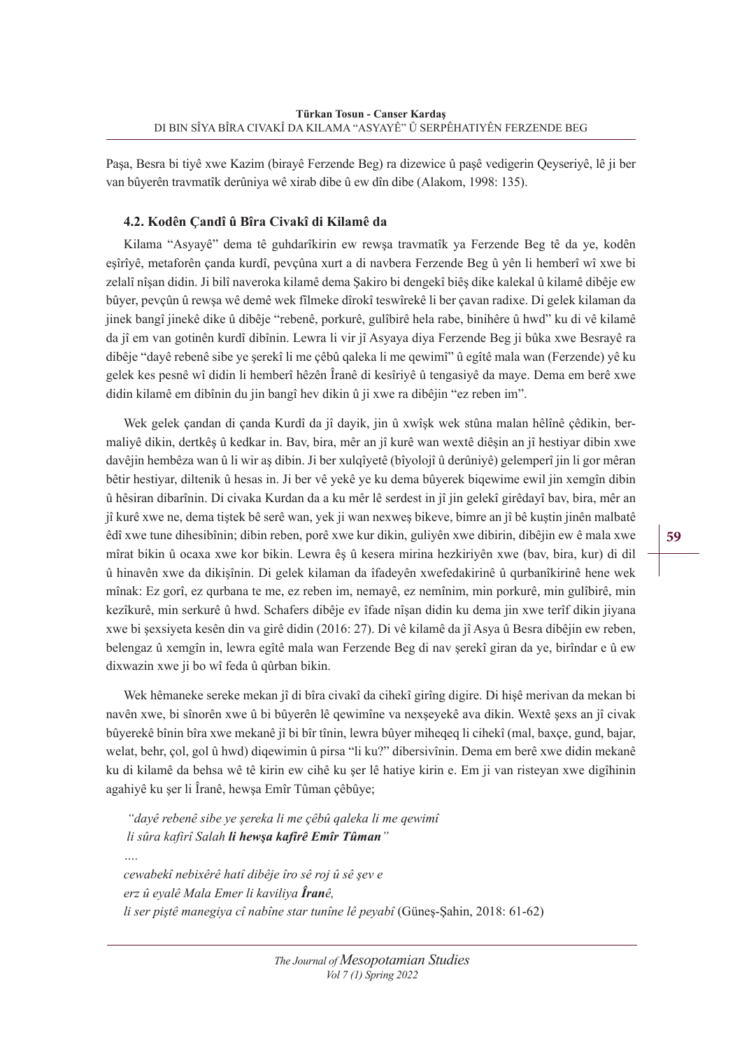Paşa, Besra bi tiyê xwe Kazim (birayê Ferzende Beg) ra dizewice û paşê vedigerin Qeyseriyê, lê ji ber van bûyerên travmatîk derûniya wê xirab dibe û ew dîn dibe (Alakom, 1998: 135).

### **4.2. Kodên Çandî û Bîra Civakî di Kilamê da**

Kilama "Asyayê" dema tê guhdarîkirin ew rewşa travmatîk ya Ferzende Beg tê da ye, kodên eşîrîyê, metaforên çanda kurdî, pevçûna xurt a di navbera Ferzende Beg û yên li hemberî wî xwe bi zelalî nîşan didin. Ji bilî naveroka kilamê dema Şakiro bi dengekî biêş dike kalekal û kilamê dibêje ew bûyer, pevçûn û rewşa wê demê wek fîlmeke dîrokî teswîrekê li ber çavan radixe. Di gelek kilaman da jinek bangî jinekê dike û dibêje "rebenê, porkurê, gulîbirê hela rabe, binihêre û hwd" ku di vê kilamê da jî em van gotinên kurdî dibînin. Lewra li vir jî Asyaya diya Ferzende Beg ji bûka xwe Besrayê ra dibêje "dayê rebenê sibe ye şerekî li me çêbû qaleka li me qewimî" û egîtê mala wan (Ferzende) yê ku gelek kes pesnê wî didin li hemberî hêzên Îranê di kesîriyê û tengasiyê da maye. Dema em berê xwe didin kilamê em dibînin du jin bangî hev dikin û ji xwe ra dibêjin "ez reben im".

Wek gelek çandan di çanda Kurdî da jî dayik, jin û xwîşk wek stûna malan hêlînê çêdikin, bermaliyê dikin, dertkêş û kedkar in. Bav, bira, mêr an jî kurê wan wextê diêşin an jî hestiyar dibin xwe davêjin hembêza wan û li wir aş dibin. Ji ber xulqîyetê (bîyolojî û derûniyê) gelemperî jin li gor mêran bêtir hestiyar, diltenik û hesas in. Ji ber vê yekê ye ku dema bûyerek biqewime ewil jin xemgîn dibin û hêsiran dibarînin. Di civaka Kurdan da a ku mêr lê serdest in jî jin gelekî girêdayî bav, bira, mêr an jî kurê xwe ne, dema tiştek bê serê wan, yek ji wan nexweş bikeve, bimre an jî bê kuştin jinên malbatê êdî xwe tune dihesibînin; dibin reben, porê xwe kur dikin, guliyên xwe dibirin, dibêjin ew ê mala xwe mîrat bikin û ocaxa xwe kor bikin. Lewra êş û kesera mirina hezkiriyên xwe (bav, bira, kur) di dil û hinavên xwe da dikişînin. Di gelek kilaman da îfadeyên xwefedakirinê û qurbanîkirinê hene wek mînak: Ez gorî, ez qurbana te me, ez reben im, nemayê, ez nemînim, min porkurê, min gulîbirê, min kezîkurê, min serkurê û hwd. Schafers dibêje ev îfade nîşan didin ku dema jin xwe terîf dikin jiyana xwe bi şexsiyeta kesên din va girê didin (2016: 27). Di vê kilamê da jî Asya û Besra dibêjin ew reben, belengaz û xemgîn in, lewra egîtê mala wan Ferzende Beg di nav şerekî giran da ye, birîndar e û ew dixwazin xwe ji bo wî feda û qûrban bikin.

Wek hêmaneke sereke mekan jî di bîra civakî da cihekî girîng digire. Di hişê merivan da mekan bi navên xwe, bi sînorên xwe û bi bûyerên lê qewimîne va nexşeyekê ava dikin. Wextê şexs an jî civak bûyerekê bînin bîra xwe mekanê jî bi bîr tînin, lewra bûyer miheqeq li cihekî (mal, baxçe, gund, bajar, welat, behr, çol, gol û hwd) diqewimin û pirsa "li ku?" dibersivînin. Dema em berê xwe didin mekanê ku di kilamê da behsa wê tê kirin ew cihê ku şer lê hatiye kirin e. Em ji van risteyan xwe digîhinin agahiyê ku şer li Îranê, hewşa Emîr Tûman çêbûye;

 *"dayê rebenê sibe ye şereka li me çêbû qaleka li me qewimî li sûra kafirî Salah li hewşa kafirê Emîr Tûman"*

*cewabekî nebixêrê hatî dibêje îro sê roj û sê şev e erz û eyalê Mala Emer li kaviliya Îranê, li ser piştê manegiya cî nabîne star tunîne lê peyabî* (Güneş-Şahin, 2018: 61-62)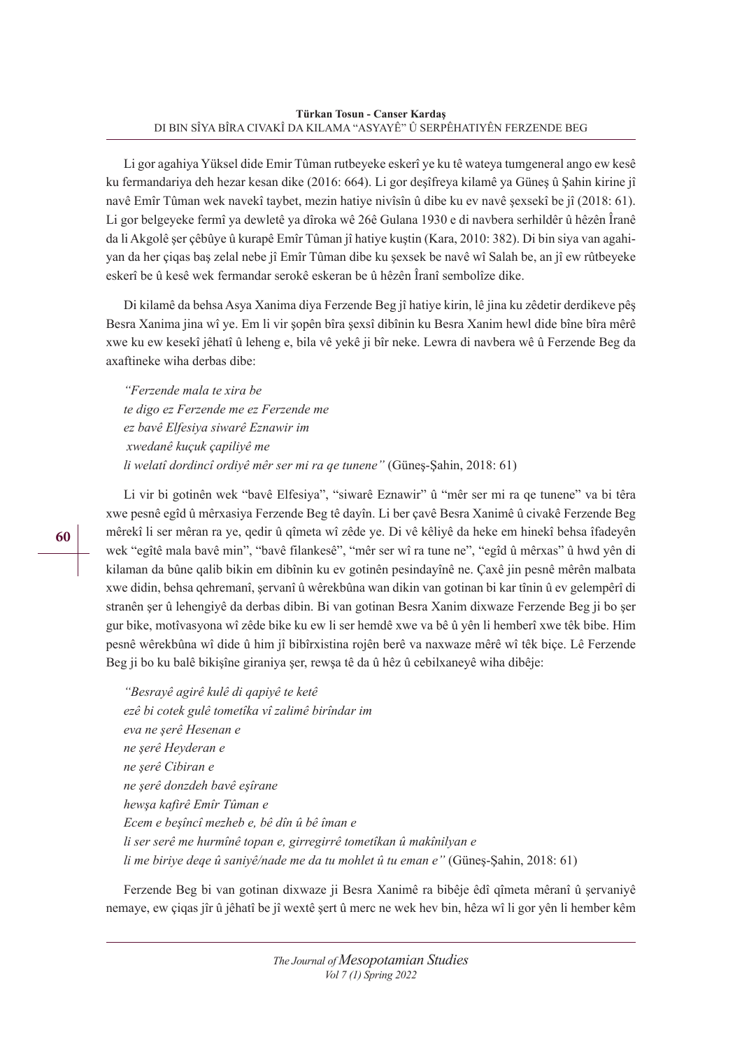Li gor agahiya Yüksel dide Emir Tûman rutbeyeke eskerî ye ku tê wateya tumgeneral ango ew kesê ku fermandariya deh hezar kesan dike (2016: 664). Li gor deşîfreya kilamê ya Güneş û Şahin kirine jî navê Emîr Tûman wek navekî taybet, mezin hatiye nivîsîn û dibe ku ev navê şexsekî be jî (2018: 61). Li gor belgeyeke fermî ya dewletê ya dîroka wê 26ê Gulana 1930 e di navbera serhildêr û hêzên Îranê da li Akgolê şer çêbûye û kurapê Emîr Tûman jî hatiye kuştin (Kara, 2010: 382). Di bin siya van agahiyan da her çiqas baş zelal nebe jî Emîr Tûman dibe ku şexsek be navê wî Salah be, an jî ew rûtbeyeke eskerî be û kesê wek fermandar serokê eskeran be û hêzên Îranî sembolîze dike.

Di kilamê da behsa Asya Xanima diya Ferzende Beg jî hatiye kirin, lê jina ku zêdetir derdikeve pêş Besra Xanima jina wî ye. Em li vir şopên bîra şexsî dibînin ku Besra Xanim hewl dide bîne bîra mêrê xwe ku ew kesekî jêhatî û leheng e, bila vê yekê ji bîr neke. Lewra di navbera wê û Ferzende Beg da axaftineke wiha derbas dibe:

*"Ferzende mala te xira be te digo ez Ferzende me ez Ferzende me ez bavê Elfesiya siwarê Eznawir im xwedanê kuçuk çapiliyê me li welatî dordincî ordiyê mêr ser mi ra qe tunene"* (Güneş-Şahin, 2018: 61)

Li vir bi gotinên wek "bavê Elfesiya", "siwarê Eznawir" û "mêr ser mi ra qe tunene" va bi têra xwe pesnê egîd û mêrxasiya Ferzende Beg tê dayîn. Li ber çavê Besra Xanimê û civakê Ferzende Beg mêrekî li ser mêran ra ye, qedir û qîmeta wî zêde ye. Di vê kêliyê da heke em hinekî behsa îfadeyên wek "egîtê mala bavê min", "bavê filankesê", "mêr ser wî ra tune ne", "egîd û mêrxas" û hwd yên di kilaman da bûne qalib bikin em dibînin ku ev gotinên pesindayînê ne. Çaxê jin pesnê mêrên malbata xwe didin, behsa qehremanî, şervanî û wêrekbûna wan dikin van gotinan bi kar tînin û ev gelempêrî di stranên şer û lehengiyê da derbas dibin. Bi van gotinan Besra Xanim dixwaze Ferzende Beg ji bo şer gur bike, motîvasyona wî zêde bike ku ew li ser hemdê xwe va bê û yên li hemberî xwe têk bibe. Him pesnê wêrekbûna wî dide û him jî bibîrxistina rojên berê va naxwaze mêrê wî têk biçe. Lê Ferzende Beg ji bo ku balê bikişîne giraniya şer, rewşa tê da û hêz û cebilxaneyê wiha dibêje:

*"Besrayê agirê kulê di qapiyê te ketê ezê bi cotek gulê tometîka vî zalimê birîndar im eva ne şerê Hesenan e ne şerê Heyderan e ne şerê Cibiran e ne şerê donzdeh bavê eşîrane hewşa kafirê Emîr Tûman e Ecem e beşîncî mezheb e, bê dîn û bê îman e li ser serê me hurmînê topan e, girregirrê tometîkan û makînilyan e li me biriye deqe û saniyê/nade me da tu mohlet û tu eman e"* (Güneş-Şahin, 2018: 61)

Ferzende Beg bi van gotinan dixwaze ji Besra Xanimê ra bibêje êdî qîmeta mêranî û şervaniyê nemaye, ew çiqas jîr û jêhatî be jî wextê şert û merc ne wek hev bin, hêza wî li gor yên li hember kêm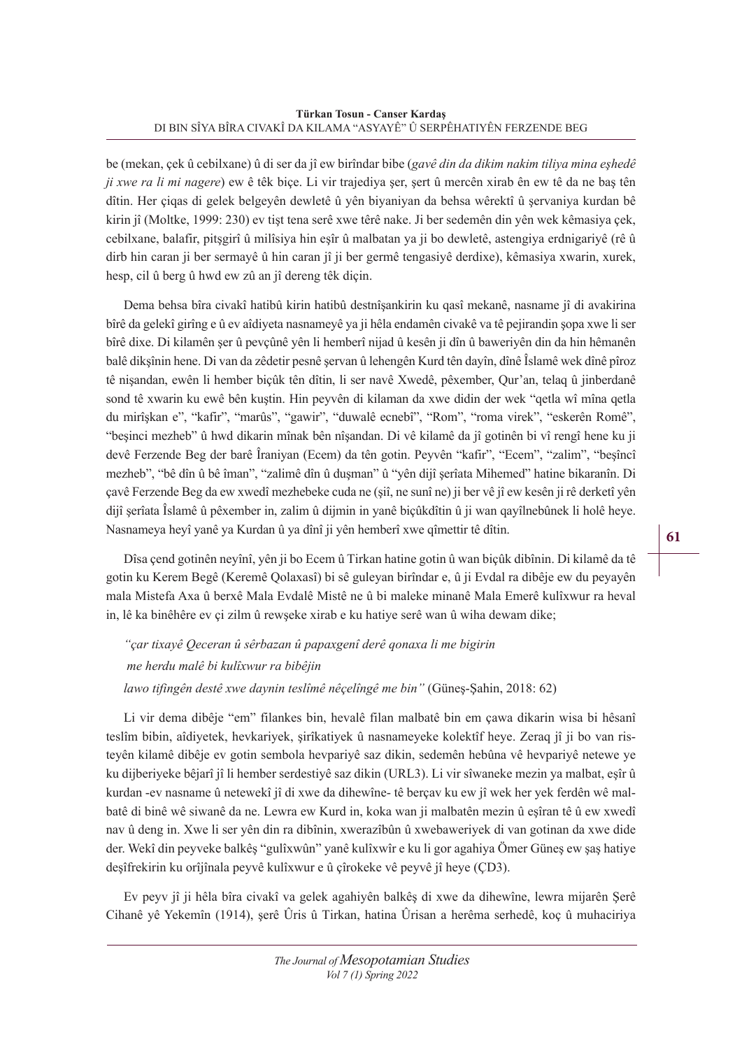be (mekan, çek û cebilxane) û di ser da jî ew birîndar bibe (*gavê din da dikim nakim tiliya mina eşhedê ji xwe ra li mi nagere*) ew ê têk biçe. Li vir trajediya şer, şert û mercên xirab ên ew tê da ne baş tên dîtin. Her çiqas di gelek belgeyên dewletê û yên biyaniyan da behsa wêrektî û şervaniya kurdan bê kirin jî (Moltke, 1999: 230) ev tişt tena serê xwe têrê nake. Ji ber sedemên din yên wek kêmasiya çek, cebilxane, balafir, pitşgirî û milîsiya hin eşîr û malbatan ya ji bo dewletê, astengiya erdnigariyê (rê û dirb hin caran ji ber sermayê û hin caran jî ji ber germê tengasiyê derdixe), kêmasiya xwarin, xurek, hesp, cil û berg û hwd ew zû an jî dereng têk diçin.

Dema behsa bîra civakî hatibû kirin hatibû destnîşankirin ku qasî mekanê, nasname jî di avakirina bîrê da gelekî girîng e û ev aîdiyeta nasnameyê ya ji hêla endamên civakê va tê pejirandin şopa xwe li ser bîrê dixe. Di kilamên şer û pevçûnê yên li hemberî nijad û kesên ji dîn û baweriyên din da hin hêmanên balê dikşînin hene. Di van da zêdetir pesnê şervan û lehengên Kurd tên dayîn, dînê Îslamê wek dînê pîroz tê nişandan, ewên li hember biçûk tên dîtin, li ser navê Xwedê, pêxember, Qur'an, telaq û jinberdanê sond tê xwarin ku ewê bên kuştin. Hin peyvên di kilaman da xwe didin der wek "qetla wî mîna qetla du mirîşkan e", "kafir", "marûs", "gawir", "duwalê ecnebî", "Rom", "roma virek", "eskerên Romê", "beşinci mezheb" û hwd dikarin mînak bên nîşandan. Di vê kilamê da jî gotinên bi vî rengî hene ku ji devê Ferzende Beg der barê Îraniyan (Ecem) da tên gotin. Peyvên "kafir", "Ecem", "zalim", "beşîncî mezheb", "bê dîn û bê îman", "zalimê dîn û duşman" û "yên dijî şerîata Mihemed" hatine bikaranîn. Di çavê Ferzende Beg da ew xwedî mezhebeke cuda ne (şiî, ne sunî ne) ji ber vê jî ew kesên ji rê derketî yên dijî şerîata Îslamê û pêxember in, zalim û dijmin in yanê biçûkdîtin û ji wan qayîlnebûnek li holê heye. Nasnameya heyî yanê ya Kurdan û ya dînî ji yên hemberî xwe qîmettir tê dîtin.

Dîsa çend gotinên neyînî, yên ji bo Ecem û Tirkan hatine gotin û wan biçûk dibînin. Di kilamê da tê gotin ku Kerem Begê (Keremê Qolaxasî) bi sê guleyan birîndar e, û ji Evdal ra dibêje ew du peyayên mala Mistefa Axa û berxê Mala Evdalê Mistê ne û bi maleke minanê Mala Emerê kulîxwur ra heval in, lê ka binêhêre ev çi zilm û rewşeke xirab e ku hatiye serê wan û wiha dewam dike;

*"çar tixayê Qeceran û sêrbazan û papaxgenî derê qonaxa li me bigirin me herdu malê bi kulîxwur ra bibêjin lawo tifingên destê xwe daynin teslîmê nêçelîngê me bin"* (Güneş-Şahin, 2018: 62)

Li vir dema dibêje "em" filankes bin, hevalê filan malbatê bin em çawa dikarin wisa bi hêsanî teslîm bibin, aîdiyetek, hevkariyek, şirîkatiyek û nasnameyeke kolektîf heye. Zeraq jî ji bo van risteyên kilamê dibêje ev gotin sembola hevpariyê saz dikin, sedemên hebûna vê hevpariyê netewe ye ku dijberiyeke bêjarî jî li hember serdestiyê saz dikin (URL3). Li vir sîwaneke mezin ya malbat, eşîr û kurdan -ev nasname û netewekî jî di xwe da dihewîne- tê berçav ku ew jî wek her yek ferdên wê malbatê di binê wê siwanê da ne. Lewra ew Kurd in, koka wan ji malbatên mezin û eşîran tê û ew xwedî nav û deng in. Xwe li ser yên din ra dibînin, xwerazîbûn û xwebaweriyek di van gotinan da xwe dide der. Wekî din peyveke balkêş "gulîxwûn" yanê kulîxwîr e ku li gor agahiya Ömer Güneş ew şaş hatiye deşîfrekirin ku orîjînala peyvê kulîxwur e û çîrokeke vê peyvê jî heye (ÇD3).

Ev peyv jî ji hêla bîra civakî va gelek agahiyên balkêş di xwe da dihewîne, lewra mijarên Şerê Cihanê yê Yekemîn (1914), şerê Ûris û Tirkan, hatina Ûrisan a herêma serhedê, koç û muhaciriya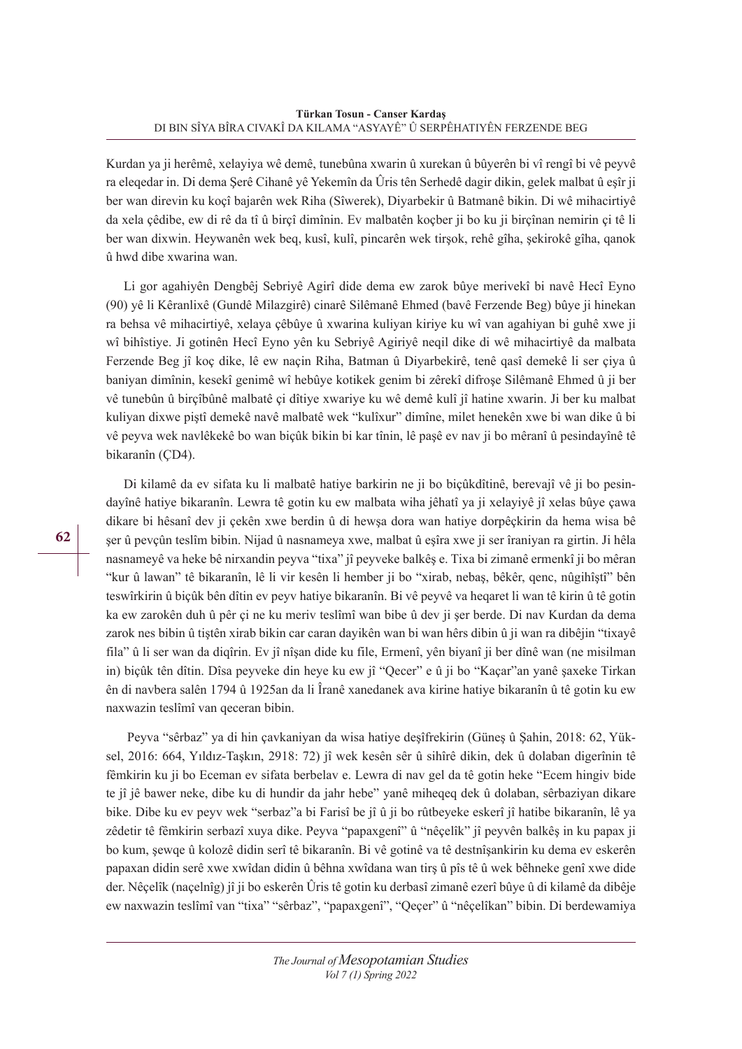Kurdan ya ji herêmê, xelayiya wê demê, tunebûna xwarin û xurekan û bûyerên bi vî rengî bi vê peyvê ra eleqedar in. Di dema Şerê Cihanê yê Yekemîn da Ûris tên Serhedê dagir dikin, gelek malbat û eşîr ji ber wan direvin ku koçî bajarên wek Riha (Sîwerek), Diyarbekir û Batmanê bikin. Di wê mihacirtiyê da xela çêdibe, ew di rê da tî û birçî dimînin. Ev malbatên koçber ji bo ku ji birçînan nemirin çi tê li ber wan dixwin. Heywanên wek beq, kusî, kulî, pincarên wek tirşok, rehê gîha, şekirokê gîha, qanok û hwd dibe xwarina wan.

Li gor agahiyên Dengbêj Sebriyê Agirî dide dema ew zarok bûye merivekî bi navê Hecî Eyno (90) yê li Kêranlixê (Gundê Milazgirê) cinarê Silêmanê Ehmed (bavê Ferzende Beg) bûye ji hinekan ra behsa vê mihacirtiyê, xelaya çêbûye û xwarina kuliyan kiriye ku wî van agahiyan bi guhê xwe ji wî bihîstiye. Ji gotinên Hecî Eyno yên ku Sebriyê Agiriyê neqil dike di wê mihacirtiyê da malbata Ferzende Beg jî koç dike, lê ew naçin Riha, Batman û Diyarbekirê, tenê qasî demekê li ser çiya û baniyan dimînin, kesekî genimê wî hebûye kotikek genim bi zêrekî difroşe Silêmanê Ehmed û ji ber vê tunebûn û birçîbûnê malbatê çi dîtiye xwariye ku wê demê kulî jî hatine xwarin. Ji ber ku malbat kuliyan dixwe piştî demekê navê malbatê wek "kulîxur" dimîne, milet henekên xwe bi wan dike û bi vê peyva wek navlêkekê bo wan biçûk bikin bi kar tînin, lê paşê ev nav ji bo mêranî û pesindayînê tê bikaranîn (ÇD4).

Di kilamê da ev sifata ku li malbatê hatiye barkirin ne ji bo biçûkdîtinê, berevajî vê ji bo pesindayînê hatiye bikaranîn. Lewra tê gotin ku ew malbata wiha jêhatî ya ji xelayiyê jî xelas bûye çawa dikare bi hêsanî dev ji çekên xwe berdin û di hewşa dora wan hatiye dorpêçkirin da hema wisa bê şer û pevçûn teslîm bibin. Nijad û nasnameya xwe, malbat û eşîra xwe ji ser îraniyan ra girtin. Ji hêla nasnameyê va heke bê nirxandin peyva "tixa" jî peyveke balkêş e. Tixa bi zimanê ermenkî ji bo mêran "kur û lawan" tê bikaranîn, lê li vir kesên li hember ji bo "xirab, nebaş, bêkêr, qenc, nûgihîştî" bên teswîrkirin û biçûk bên dîtin ev peyv hatiye bikaranîn. Bi vê peyvê va heqaret li wan tê kirin û tê gotin ka ew zarokên duh û pêr çi ne ku meriv teslîmî wan bibe û dev ji şer berde. Di nav Kurdan da dema zarok nes bibin û tiştên xirab bikin car caran dayikên wan bi wan hêrs dibin û ji wan ra dibêjin "tixayê fila" û li ser wan da diqîrin. Ev jî nîşan dide ku file, Ermenî, yên biyanî ji ber dînê wan (ne misilman in) biçûk tên dîtin. Dîsa peyveke din heye ku ew jî "Qecer" e û ji bo "Kaçar"an yanê şaxeke Tirkan ên di navbera salên 1794 û 1925an da li Îranê xanedanek ava kirine hatiye bikaranîn û tê gotin ku ew naxwazin teslîmî van qeceran bibin.

 Peyva "sêrbaz" ya di hin çavkaniyan da wisa hatiye deşîfrekirin (Güneş û Şahin, 2018: 62, Yüksel, 2016: 664, Yıldız-Taşkın, 2918: 72) jî wek kesên sêr û sihîrê dikin, dek û dolaban digerînin tê fêmkirin ku ji bo Eceman ev sifata berbelav e. Lewra di nav gel da tê gotin heke "Ecem hingiv bide te jî jê bawer neke, dibe ku di hundir da jahr hebe" yanê miheqeq dek û dolaban, sêrbaziyan dikare bike. Dibe ku ev peyv wek "serbaz"a bi Farisî be jî û ji bo rûtbeyeke eskerî jî hatibe bikaranîn, lê ya zêdetir tê fêmkirin serbazî xuya dike. Peyva "papaxgenî" û "nêçelîk" jî peyvên balkêş in ku papax ji bo kum, şewqe û kolozê didin serî tê bikaranîn. Bi vê gotinê va tê destnîşankirin ku dema ev eskerên papaxan didin serê xwe xwîdan didin û bêhna xwîdana wan tirş û pîs tê û wek bêhneke genî xwe dide der. Nêçelîk (naçelnîg) jî ji bo eskerên Ûris tê gotin ku derbasî zimanê ezerî bûye û di kilamê da dibêje ew naxwazin teslîmî van "tixa" "sêrbaz", "papaxgenî", "Qeçer" û "nêçelîkan" bibin. Di berdewamiya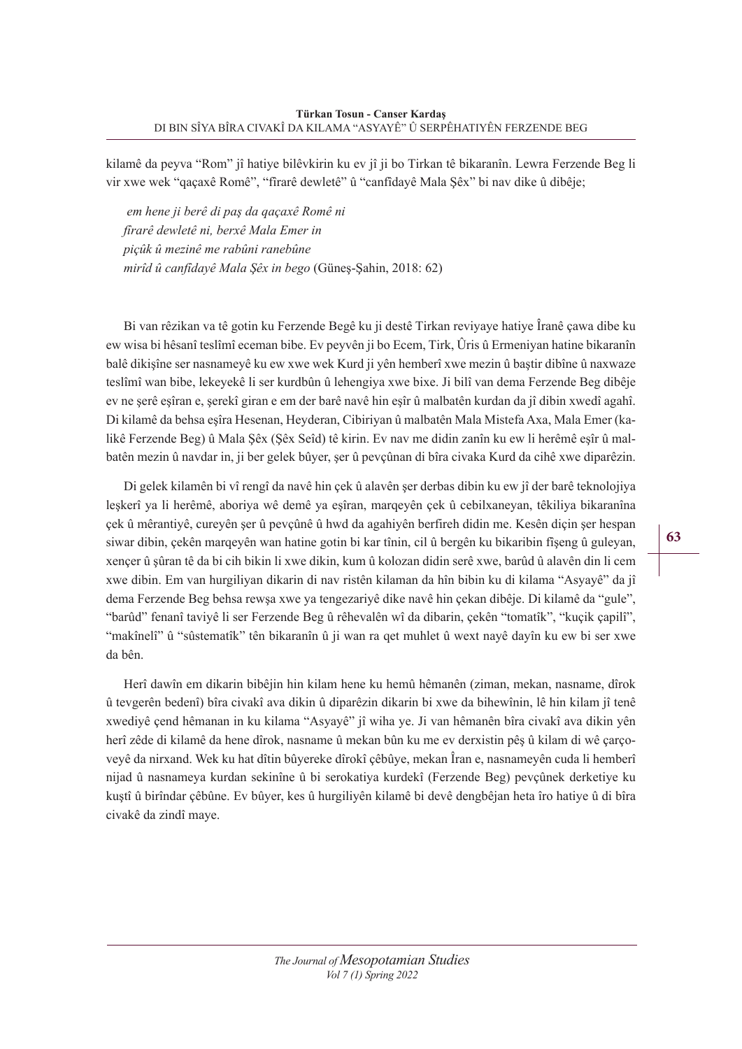kilamê da peyva "Rom" jî hatiye bilêvkirin ku ev jî ji bo Tirkan tê bikaranîn. Lewra Ferzende Beg li vir xwe wek "qaçaxê Romê", "fîrarê dewletê" û "canfîdayê Mala Şêx" bi nav dike û dibêje;

*em hene ji berê di paş da qaçaxê Romê ni fîrarê dewletê ni, berxê Mala Emer in piçûk û mezinê me rabûni ranebûne mirîd û canfîdayê Mala Şêx in bego* (Güneş-Şahin, 2018: 62)

Bi van rêzikan va tê gotin ku Ferzende Begê ku ji destê Tirkan reviyaye hatiye Îranê çawa dibe ku ew wisa bi hêsanî teslîmî eceman bibe. Ev peyvên ji bo Ecem, Tirk, Ûris û Ermeniyan hatine bikaranîn balê dikişîne ser nasnameyê ku ew xwe wek Kurd ji yên hemberî xwe mezin û baştir dibîne û naxwaze teslîmî wan bibe, lekeyekê li ser kurdbûn û lehengiya xwe bixe. Ji bilî van dema Ferzende Beg dibêje ev ne şerê eşîran e, şerekî giran e em der barê navê hin eşîr û malbatên kurdan da jî dibin xwedî agahî. Di kilamê da behsa eşîra Hesenan, Heyderan, Cibiriyan û malbatên Mala Mistefa Axa, Mala Emer (kalikê Ferzende Beg) û Mala Şêx (Şêx Seîd) tê kirin. Ev nav me didin zanîn ku ew li herêmê eşîr û malbatên mezin û navdar in, ji ber gelek bûyer, şer û pevçûnan di bîra civaka Kurd da cihê xwe diparêzin.

Di gelek kilamên bi vî rengî da navê hin çek û alavên şer derbas dibin ku ew jî der barê teknolojiya leşkerî ya li herêmê, aboriya wê demê ya eşîran, marqeyên çek û cebilxaneyan, têkiliya bikaranîna çek û mêrantiyê, cureyên şer û pevçûnê û hwd da agahiyên berfireh didin me. Kesên diçin şer hespan siwar dibin, çekên marqeyên wan hatine gotin bi kar tînin, cil û bergên ku bikaribin fîşeng û guleyan, xençer û şûran tê da bi cih bikin li xwe dikin, kum û kolozan didin serê xwe, barûd û alavên din li cem xwe dibin. Em van hurgiliyan dikarin di nav ristên kilaman da hîn bibin ku di kilama "Asyayê" da jî dema Ferzende Beg behsa rewşa xwe ya tengezariyê dike navê hin çekan dibêje. Di kilamê da "gule", "barûd" fenanî taviyê li ser Ferzende Beg û rêhevalên wî da dibarin, çekên "tomatîk", "kuçik çapilî", "makînelî" û "sûstematîk" tên bikaranîn û ji wan ra qet muhlet û wext nayê dayîn ku ew bi ser xwe da bên.

Herî dawîn em dikarin bibêjin hin kilam hene ku hemû hêmanên (ziman, mekan, nasname, dîrok û tevgerên bedenî) bîra civakî ava dikin û diparêzin dikarin bi xwe da bihewînin, lê hin kilam jî tenê xwediyê çend hêmanan in ku kilama "Asyayê" jî wiha ye. Ji van hêmanên bîra civakî ava dikin yên herî zêde di kilamê da hene dîrok, nasname û mekan bûn ku me ev derxistin pêş û kilam di wê çarçoveyê da nirxand. Wek ku hat dîtin bûyereke dîrokî çêbûye, mekan Îran e, nasnameyên cuda li hemberî nijad û nasnameya kurdan sekinîne û bi serokatiya kurdekî (Ferzende Beg) pevçûnek derketiye ku kuştî û birîndar çêbûne. Ev bûyer, kes û hurgiliyên kilamê bi devê dengbêjan heta îro hatiye û di bîra civakê da zindî maye.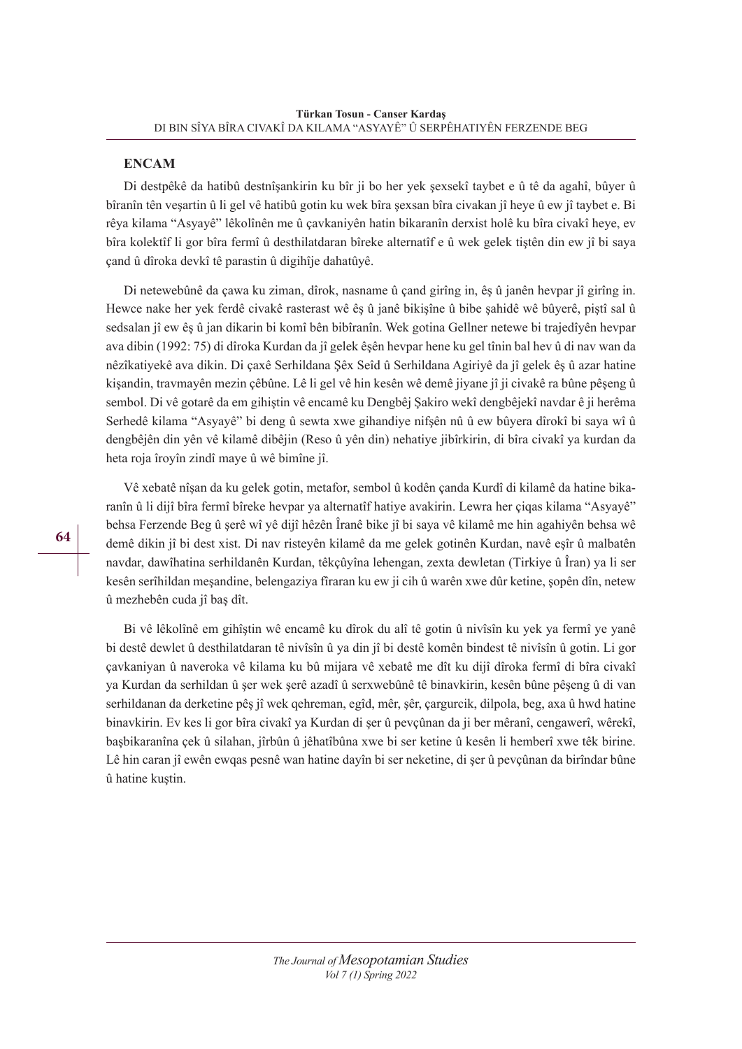## **ENCAM**

Di destpêkê da hatibû destnîşankirin ku bîr ji bo her yek şexsekî taybet e û tê da agahî, bûyer û bîranîn tên veşartin û li gel vê hatibû gotin ku wek bîra şexsan bîra civakan jî heye û ew jî taybet e. Bi rêya kilama "Asyayê" lêkolînên me û çavkaniyên hatin bikaranîn derxist holê ku bîra civakî heye, ev bîra kolektîf li gor bîra fermî û desthilatdaran bîreke alternatîf e û wek gelek tiştên din ew jî bi saya çand û dîroka devkî tê parastin û digihîje dahatûyê.

Di netewebûnê da çawa ku ziman, dîrok, nasname û çand girîng in, êş û janên hevpar jî girîng in. Hewce nake her yek ferdê civakê rasterast wê êş û janê bikişîne û bibe şahidê wê bûyerê, piştî sal û sedsalan jî ew êş û jan dikarin bi komî bên bibîranîn. Wek gotina Gellner netewe bi trajedîyên hevpar ava dibin (1992: 75) di dîroka Kurdan da jî gelek êşên hevpar hene ku gel tînin bal hev û di nav wan da nêzîkatiyekê ava dikin. Di çaxê Serhildana Şêx Seîd û Serhildana Agiriyê da jî gelek êş û azar hatine kişandin, travmayên mezin çêbûne. Lê li gel vê hin kesên wê demê jiyane jî ji civakê ra bûne pêşeng û sembol. Di vê gotarê da em gihiştin vê encamê ku Dengbêj Şakiro wekî dengbêjekî navdar ê ji herêma Serhedê kilama "Asyayê" bi deng û sewta xwe gihandiye nifşên nû û ew bûyera dîrokî bi saya wî û dengbêjên din yên vê kilamê dibêjin (Reso û yên din) nehatiye jibîrkirin, di bîra civakî ya kurdan da heta roja îroyîn zindî maye û wê bimîne jî.

Vê xebatê nîşan da ku gelek gotin, metafor, sembol û kodên çanda Kurdî di kilamê da hatine bikaranîn û li dijî bîra fermî bîreke hevpar ya alternatîf hatiye avakirin. Lewra her çiqas kilama "Asyayê" behsa Ferzende Beg û şerê wî yê dijî hêzên Îranê bike jî bi saya vê kilamê me hin agahiyên behsa wê demê dikin jî bi dest xist. Di nav risteyên kilamê da me gelek gotinên Kurdan, navê eşîr û malbatên navdar, dawîhatina serhildanên Kurdan, têkçûyîna lehengan, zexta dewletan (Tirkiye û Îran) ya li ser kesên serîhildan meşandine, belengaziya fîraran ku ew ji cih û warên xwe dûr ketine, şopên dîn, netew û mezhebên cuda jî baş dît.

Bi vê lêkolînê em gihîştin wê encamê ku dîrok du alî tê gotin û nivîsîn ku yek ya fermî ye yanê bi destê dewlet û desthilatdaran tê nivîsîn û ya din jî bi destê komên bindest tê nivîsîn û gotin. Li gor çavkaniyan û naveroka vê kilama ku bû mijara vê xebatê me dît ku dijî dîroka fermî di bîra civakî ya Kurdan da serhildan û şer wek şerê azadî û serxwebûnê tê binavkirin, kesên bûne pêşeng û di van serhildanan da derketine pêş jî wek qehreman, egîd, mêr, şêr, çargurcik, dilpola, beg, axa û hwd hatine binavkirin. Ev kes li gor bîra civakî ya Kurdan di şer û pevçûnan da ji ber mêranî, cengawerî, wêrekî, başbikaranîna çek û silahan, jîrbûn û jêhatîbûna xwe bi ser ketine û kesên li hemberî xwe têk birine. Lê hin caran jî ewên ewqas pesnê wan hatine dayîn bi ser neketine, di şer û pevçûnan da birîndar bûne û hatine kuştin.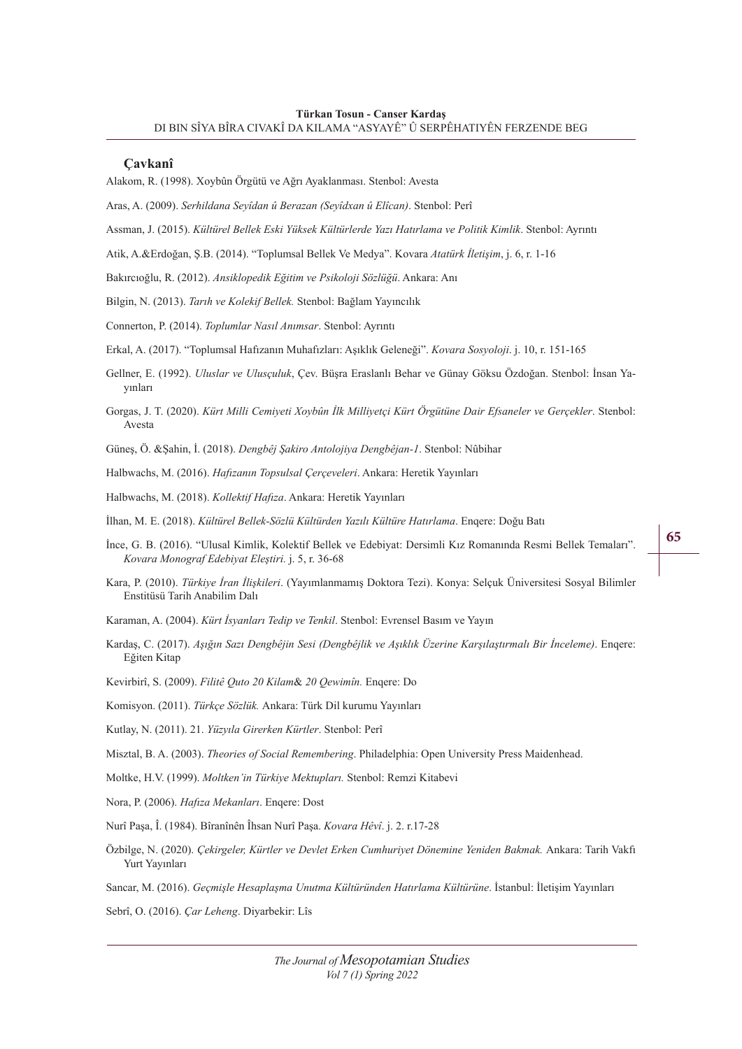#### **Çavkanî**

Alakom, R. (1998). Xoybûn Örgütü ve Ağrı Ayaklanması. Stenbol: Avesta

Aras, A. (2009). *Serhildana Seyîdan û Berazan (Seyîdxan û Elîcan)*. Stenbol: Perî

- Assman, J. (2015). *Kültürel Bellek Eski Yüksek Kültürlerde Yazı Hatırlama ve Politik Kimlik*. Stenbol: Ayrıntı
- Atik, A.&Erdoğan, Ş.B. (2014). "Toplumsal Bellek Ve Medya". Kovara *Atatürk İletişim*, j. 6, r. 1-16
- Bakırcıoğlu, R. (2012). *Ansiklopedik Eğitim ve Psikoloji Sözlüğü*. Ankara: Anı
- Bilgin, N. (2013). *Tarıh ve Kolekif Bellek.* Stenbol: Bağlam Yayıncılık
- Connerton, P. (2014). *Toplumlar Nasıl Anımsar*. Stenbol: Ayrıntı
- Erkal, A. (2017). "Toplumsal Hafızanın Muhafızları: Aşıklık Geleneği". *Kovara Sosyoloji*. j. 10, r. 151-165
- Gellner, E. (1992). *Uluslar ve Ulusçuluk*, Çev. Büşra Eraslanlı Behar ve Günay Göksu Özdoğan. Stenbol: İnsan Yayınları
- Gorgas, J. T. (2020). *Kürt Milli Cemiyeti Xoybûn İlk Milliyetçi Kürt Örgütüne Dair Efsaneler ve Gerçekler*. Stenbol: Avesta
- Güneş, Ö. &Şahin, İ. (2018). *Dengbêj Şakiro Antolojiya Dengbêjan-1*. Stenbol: Nûbihar
- Halbwachs, M. (2016). *Hafızanın Topsulsal Çerçeveleri*. Ankara: Heretik Yayınları
- Halbwachs, M. (2018). *Kollektif Hafıza*. Ankara: Heretik Yayınları
- İlhan, M. E. (2018). *Kültürel Bellek-Sözlü Kültürden Yazılı Kültüre Hatırlama*. Enqere: Doğu Batı
- İnce, G. B. (2016). "Ulusal Kimlik, Kolektif Bellek ve Edebiyat: Dersimli Kız Romanında Resmi Bellek Temaları". *Kovara Monograf Edebiyat Eleştiri.* j. 5, r. 36-68
- Kara, P. (2010). *Türkiye İran İlişkileri*. (Yayımlanmamış Doktora Tezi). Konya: Selçuk Üniversitesi Sosyal Bilimler Enstitüsü Tarih Anabilim Dalı
- Karaman, A. (2004). *Kürt İsyanları Tedip ve Tenkil*. Stenbol: Evrensel Basım ve Yayın
- Kardaş, C. (2017). *Aşığın Sazı Dengbêjin Sesi (Dengbêjlik ve Aşıklık Üzerine Karşılaştırmalı Bir İnceleme)*. Enqere: Eğiten Kitap
- Kevirbirî, S. (2009). *Filitê Quto 20 Kilam*& *20 Qewimîn.* Enqere: Do
- Komisyon. (2011). *Türkçe Sözlük.* Ankara: Türk Dil kurumu Yayınları
- Kutlay, N. (2011). 21. *Yüzyıla Girerken Kürtler*. Stenbol: Perî
- Misztal, B. A. (2003). *Theories of Social Remembering*. Philadelphia: Open University Press Maidenhead.
- Moltke, H.V. (1999). *Moltken'in Türkiye Mektupları.* Stenbol: Remzi Kitabevi
- Nora, P. (2006). *Hafıza Mekanları*. Enqere: Dost
- Nurî Paşa, Î. (1984). Bîranînên Îhsan Nurî Paşa. *Kovara Hêvî*. j. 2. r.17-28
- Özbilge, N. (2020). *Çekirgeler, Kürtler ve Devlet Erken Cumhuriyet Dönemine Yeniden Bakmak.* Ankara: Tarih Vakfı Yurt Yayınları
- Sancar, M. (2016). *Geçmişle Hesaplaşma Unutma Kültüründen Hatırlama Kültürüne*. İstanbul: İletişim Yayınları
- Sebrî, O. (2016). *Çar Leheng*. Diyarbekir: Lîs